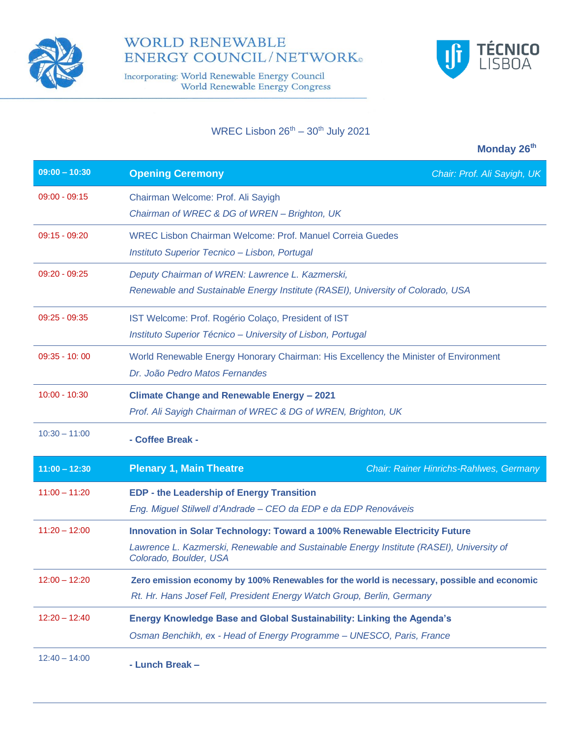

# **WORLD RENEWABLE ENERGY COUNCIL/NETWORK**®

Incorporating: World Renewable Energy Council<br>World Renewable Energy Congress



## WREC Lisbon  $26^{th} - 30^{th}$  July 2021

|                 | Monday 26 <sup>th</sup>                                                                                                                                                                          |
|-----------------|--------------------------------------------------------------------------------------------------------------------------------------------------------------------------------------------------|
| $09:00 - 10:30$ | <b>Opening Ceremony</b><br>Chair: Prof. Ali Sayigh, UK                                                                                                                                           |
| $09:00 - 09:15$ | Chairman Welcome: Prof. Ali Sayigh<br>Chairman of WREC & DG of WREN - Brighton, UK                                                                                                               |
| $09:15 - 09:20$ | <b>WREC Lisbon Chairman Welcome: Prof. Manuel Correia Guedes</b><br>Instituto Superior Tecnico - Lisbon, Portugal                                                                                |
| $09:20 - 09:25$ | Deputy Chairman of WREN: Lawrence L. Kazmerski,<br>Renewable and Sustainable Energy Institute (RASEI), University of Colorado, USA                                                               |
| $09:25 - 09:35$ | IST Welcome: Prof. Rogério Colaço, President of IST<br>Instituto Superior Técnico - University of Lisbon, Portugal                                                                               |
| $09:35 - 10:00$ | World Renewable Energy Honorary Chairman: His Excellency the Minister of Environment<br>Dr. João Pedro Matos Fernandes                                                                           |
| $10:00 - 10:30$ | Climate Change and Renewable Energy - 2021<br>Prof. Ali Sayigh Chairman of WREC & DG of WREN, Brighton, UK                                                                                       |
| $10:30 - 11:00$ | - Coffee Break -                                                                                                                                                                                 |
| $11:00 - 12:30$ | <b>Plenary 1, Main Theatre</b><br><b>Chair: Rainer Hinrichs-Rahlwes, Germany</b>                                                                                                                 |
| $11:00 - 11:20$ | <b>EDP - the Leadership of Energy Transition</b><br>Eng. Miguel Stilwell d'Andrade - CEO da EDP e da EDP Renováveis                                                                              |
| $11:20 - 12:00$ | Innovation in Solar Technology: Toward a 100% Renewable Electricity Future<br>Lawrence L. Kazmerski, Renewable and Sustainable Energy Institute (RASEI), University of<br>Colorado, Boulder, USA |
| $12:00 - 12:20$ | Zero emission economy by 100% Renewables for the world is necessary, possible and economic<br>Rt. Hr. Hans Josef Fell, President Energy Watch Group, Berlin, Germany                             |
| $12:20 - 12:40$ | Energy Knowledge Base and Global Sustainability: Linking the Agenda's<br>Osman Benchikh, ex - Head of Energy Programme - UNESCO, Paris, France                                                   |
| $12:40 - 14:00$ | - Lunch Break -                                                                                                                                                                                  |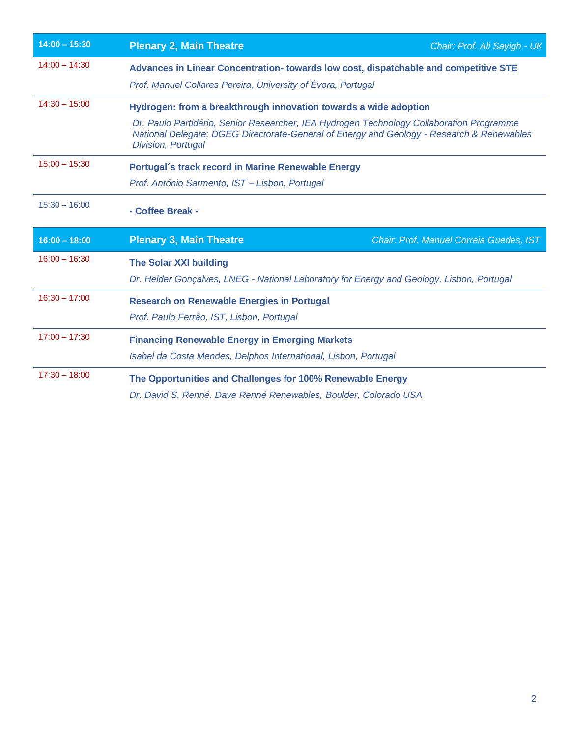| $14:00 - 15:30$ | <b>Plenary 2, Main Theatre</b><br>Chair: Prof. Ali Sayigh - UK                                                                                                                                                                                                                  |  |
|-----------------|---------------------------------------------------------------------------------------------------------------------------------------------------------------------------------------------------------------------------------------------------------------------------------|--|
| $14:00 - 14:30$ | Advances in Linear Concentration-towards low cost, dispatchable and competitive STE<br>Prof. Manuel Collares Pereira, University of Évora, Portugal                                                                                                                             |  |
| $14:30 - 15:00$ | Hydrogen: from a breakthrough innovation towards a wide adoption<br>Dr. Paulo Partidário, Senior Researcher, IEA Hydrogen Technology Collaboration Programme<br>National Delegate; DGEG Directorate-General of Energy and Geology - Research & Renewables<br>Division, Portugal |  |
| $15:00 - 15:30$ | Portugal's track record in Marine Renewable Energy<br>Prof. António Sarmento, IST - Lisbon, Portugal                                                                                                                                                                            |  |
| $15:30 - 16:00$ | - Coffee Break -                                                                                                                                                                                                                                                                |  |
| $16:00 - 18:00$ | <b>Plenary 3, Main Theatre</b><br>Chair: Prof. Manuel Correia Guedes, IST                                                                                                                                                                                                       |  |
| $16:00 - 16:30$ | <b>The Solar XXI building</b><br>Dr. Helder Goncalves, LNEG - National Laboratory for Energy and Geology, Lisbon, Portugal                                                                                                                                                      |  |
| $16:30 - 17:00$ | <b>Research on Renewable Energies in Portugal</b><br>Prof. Paulo Ferrão, IST, Lisbon, Portugal                                                                                                                                                                                  |  |
| $17:00 - 17:30$ | <b>Financing Renewable Energy in Emerging Markets</b><br>Isabel da Costa Mendes, Delphos International, Lisbon, Portugal                                                                                                                                                        |  |
| $17:30 - 18:00$ | The Opportunities and Challenges for 100% Renewable Energy<br>Dr. David S. Renné, Dave Renné Renewables, Boulder, Colorado USA                                                                                                                                                  |  |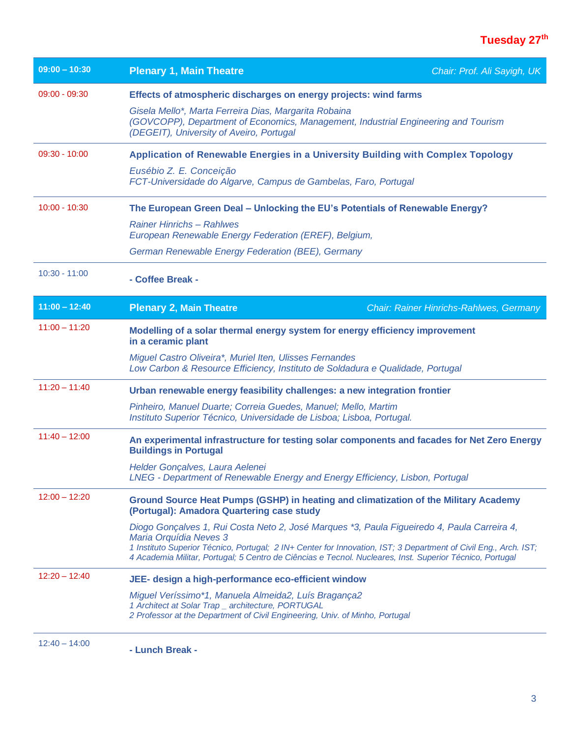# **Tuesday 27th**

| $09:00 - 10:30$ | <b>Plenary 1, Main Theatre</b><br>Chair: Prof. Ali Sayigh, UK                                                                                                                                                                |
|-----------------|------------------------------------------------------------------------------------------------------------------------------------------------------------------------------------------------------------------------------|
| $09:00 - 09:30$ | Effects of atmospheric discharges on energy projects: wind farms                                                                                                                                                             |
|                 | Gisela Mello*, Marta Ferreira Dias, Margarita Robaina<br>(GOVCOPP), Department of Economics, Management, Industrial Engineering and Tourism<br>(DEGEIT), University of Aveiro, Portugal                                      |
| $09:30 - 10:00$ | Application of Renewable Energies in a University Building with Complex Topology                                                                                                                                             |
|                 | Eusébio Z. E. Conceição<br>FCT-Universidade do Algarve, Campus de Gambelas, Faro, Portugal                                                                                                                                   |
| $10:00 - 10:30$ | The European Green Deal - Unlocking the EU's Potentials of Renewable Energy?                                                                                                                                                 |
|                 | <b>Rainer Hinrichs - Rahlwes</b><br>European Renewable Energy Federation (EREF), Belgium,                                                                                                                                    |
|                 | German Renewable Energy Federation (BEE), Germany                                                                                                                                                                            |
| $10:30 - 11:00$ | - Coffee Break -                                                                                                                                                                                                             |
| $11:00 - 12:40$ | <b>Plenary 2, Main Theatre</b><br><b>Chair: Rainer Hinrichs-Rahlwes, Germany</b>                                                                                                                                             |
| $11:00 - 11:20$ | Modelling of a solar thermal energy system for energy efficiency improvement<br>in a ceramic plant                                                                                                                           |
|                 | Miguel Castro Oliveira*, Muriel Iten, Ulisses Fernandes<br>Low Carbon & Resource Efficiency, Instituto de Soldadura e Qualidade, Portugal                                                                                    |
| $11:20 - 11:40$ | Urban renewable energy feasibility challenges: a new integration frontier                                                                                                                                                    |
|                 | Pinheiro, Manuel Duarte; Correia Guedes, Manuel; Mello, Martim<br>Instituto Superior Técnico, Universidade de Lisboa; Lisboa, Portugal.                                                                                      |
| $11:40 - 12:00$ | An experimental infrastructure for testing solar components and facades for Net Zero Energy<br><b>Buildings in Portugal</b>                                                                                                  |
|                 | Helder Gonçalves, Laura Aelenei<br>LNEG - Department of Renewable Energy and Energy Efficiency, Lisbon, Portugal                                                                                                             |
| $12:00 - 12:20$ | Ground Source Heat Pumps (GSHP) in heating and climatization of the Military Academy<br>(Portugal): Amadora Quartering case study                                                                                            |
|                 | Diogo Gonçalves 1, Rui Costa Neto 2, José Marques *3, Paula Figueiredo 4, Paula Carreira 4,<br>Maria Orquídia Neves 3                                                                                                        |
|                 | 1 Instituto Superior Técnico, Portugal; 2 IN+ Center for Innovation, IST; 3 Department of Civil Eng., Arch. IST;<br>4 Academia Militar, Portugal; 5 Centro de Ciências e Tecnol. Nucleares, Inst. Superior Técnico, Portugal |
| $12:20 - 12:40$ | JEE- design a high-performance eco-efficient window                                                                                                                                                                          |
|                 | Miguel Veríssimo*1, Manuela Almeida2, Luís Bragança2<br>1 Architect at Solar Trap _ architecture, PORTUGAL<br>2 Professor at the Department of Civil Engineering, Univ. of Minho, Portugal                                   |
| $12:40 - 14:00$ | - Lunch Break -                                                                                                                                                                                                              |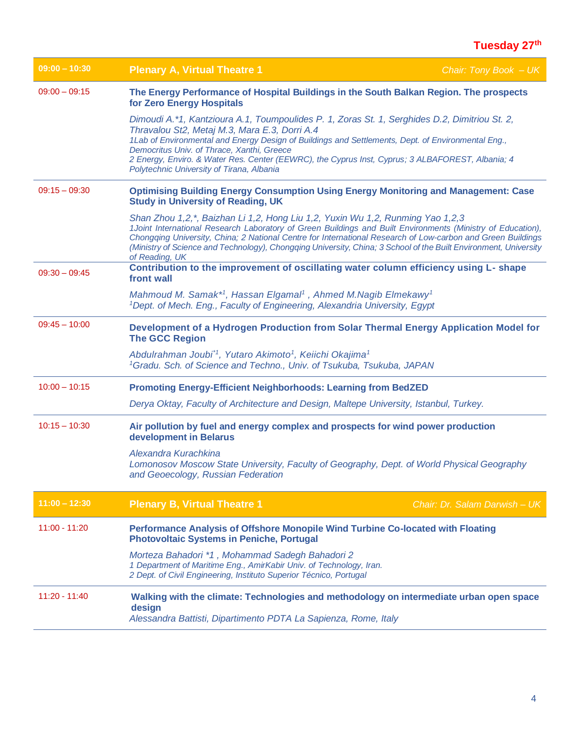| $09:00 - 10:30$ | <b>Plenary A, Virtual Theatre 1</b>                                                                                                                                                                                                                                                                                                                                                                                                                | Chair: Tony Book $- UK$       |
|-----------------|----------------------------------------------------------------------------------------------------------------------------------------------------------------------------------------------------------------------------------------------------------------------------------------------------------------------------------------------------------------------------------------------------------------------------------------------------|-------------------------------|
| $09:00 - 09:15$ | The Energy Performance of Hospital Buildings in the South Balkan Region. The prospects<br>for Zero Energy Hospitals                                                                                                                                                                                                                                                                                                                                |                               |
|                 | Dimoudi A.*1, Kantzioura A.1, Toumpoulides P. 1, Zoras St. 1, Serghides D.2, Dimitriou St. 2,<br>Thravalou St2, Metaj M.3, Mara E.3, Dorri A.4                                                                                                                                                                                                                                                                                                     |                               |
|                 | 1Lab of Environmental and Energy Design of Buildings and Settlements, Dept. of Environmental Eng.,                                                                                                                                                                                                                                                                                                                                                 |                               |
|                 | Democritus Univ. of Thrace, Xanthi, Greece<br>2 Energy, Enviro. & Water Res. Center (EEWRC), the Cyprus Inst, Cyprus; 3 ALBAFOREST, Albania; 4<br>Polytechnic University of Tirana, Albania                                                                                                                                                                                                                                                        |                               |
| $09:15 - 09:30$ | <b>Optimising Building Energy Consumption Using Energy Monitoring and Management: Case</b><br><b>Study in University of Reading, UK</b>                                                                                                                                                                                                                                                                                                            |                               |
|                 | Shan Zhou 1,2,*, Baizhan Li 1,2, Hong Liu 1,2, Yuxin Wu 1,2, Runming Yao 1,2,3<br>1Joint International Research Laboratory of Green Buildings and Built Environments (Ministry of Education),<br>Chongqing University, China; 2 National Centre for International Research of Low-carbon and Green Buildings<br>(Ministry of Science and Technology), Chongqing University, China; 3 School of the Built Environment, University<br>of Reading, UK |                               |
| $09:30 - 09:45$ | Contribution to the improvement of oscillating water column efficiency using L- shape<br>front wall                                                                                                                                                                                                                                                                                                                                                |                               |
|                 | Mahmoud M. Samak*1, Hassan Elgamal <sup>1</sup> , Ahmed M.Nagib Elmekawy <sup>1</sup><br><sup>1</sup> Dept. of Mech. Eng., Faculty of Engineering, Alexandria University, Egypt                                                                                                                                                                                                                                                                    |                               |
| $09:45 - 10:00$ | Development of a Hydrogen Production from Solar Thermal Energy Application Model for<br><b>The GCC Region</b>                                                                                                                                                                                                                                                                                                                                      |                               |
|                 | Abdulrahman Joubi <sup>*1</sup> , Yutaro Akimoto <sup>1</sup> , Keiichi Okajima <sup>1</sup><br><sup>1</sup> Gradu. Sch. of Science and Techno., Univ. of Tsukuba, Tsukuba, JAPAN                                                                                                                                                                                                                                                                  |                               |
| $10:00 - 10:15$ | <b>Promoting Energy-Efficient Neighborhoods: Learning from BedZED</b>                                                                                                                                                                                                                                                                                                                                                                              |                               |
|                 | Derya Oktay, Faculty of Architecture and Design, Maltepe University, Istanbul, Turkey.                                                                                                                                                                                                                                                                                                                                                             |                               |
| $10:15 - 10:30$ | Air pollution by fuel and energy complex and prospects for wind power production<br>development in Belarus                                                                                                                                                                                                                                                                                                                                         |                               |
|                 | Alexandra Kurachkina<br>Lomonosov Moscow State University, Faculty of Geography, Dept. of World Physical Geography<br>and Geoecology, Russian Federation                                                                                                                                                                                                                                                                                           |                               |
| $11:00 - 12:30$ | <b>Plenary B, Virtual Theatre 1</b>                                                                                                                                                                                                                                                                                                                                                                                                                | Chair: Dr. Salam Darwish - UK |
| $11:00 - 11:20$ | Performance Analysis of Offshore Monopile Wind Turbine Co-located with Floating<br><b>Photovoltaic Systems in Peniche, Portugal</b>                                                                                                                                                                                                                                                                                                                |                               |
|                 | Morteza Bahadori *1, Mohammad Sadegh Bahadori 2<br>1 Department of Maritime Eng., AmirKabir Univ. of Technology, Iran.<br>2 Dept. of Civil Engineering, Instituto Superior Técnico, Portugal                                                                                                                                                                                                                                                       |                               |
| $11:20 - 11:40$ | Walking with the climate: Technologies and methodology on intermediate urban open space<br>design<br>Alessandra Battisti, Dipartimento PDTA La Sapienza, Rome, Italy                                                                                                                                                                                                                                                                               |                               |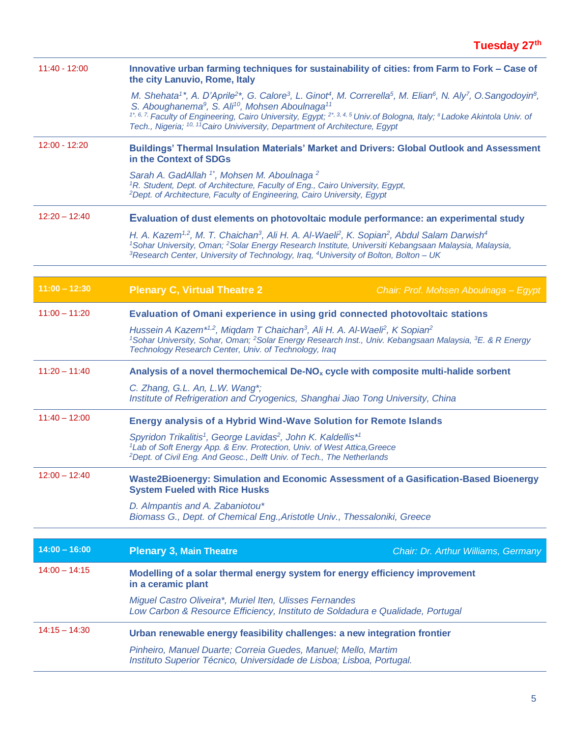| $11:40 - 12:00$ | Innovative urban farming techniques for sustainability of cities: from Farm to Fork - Case of<br>the city Lanuvio, Rome, Italy                                                                                                                                                                                                                                                                                                                                                                                                                                  |
|-----------------|-----------------------------------------------------------------------------------------------------------------------------------------------------------------------------------------------------------------------------------------------------------------------------------------------------------------------------------------------------------------------------------------------------------------------------------------------------------------------------------------------------------------------------------------------------------------|
|                 | M. Shehata <sup>1*</sup> , A. D'Aprile <sup>2*</sup> , G. Calore <sup>3</sup> , L. Ginot <sup>4</sup> , M. Correrella <sup>5</sup> , M. Elian <sup>6</sup> , N. Aly <sup>7</sup> , O. Sangodoyin <sup>8</sup> ,<br>S. Aboughanema <sup>9</sup> , S. Ali <sup>10</sup> , Mohsen Aboulnaga <sup>11</sup><br><sup>1*, 6, 7,</sup> Faculty of Engineering, Cairo University, Egypt; <sup>2*, 3, 4, 5</sup> Univ of Bologna, Italy; <sup>8</sup> Ladoke Akintola Univ. of<br>Tech., Nigeria; <sup>10, 11</sup> Cairo Univiversity, Department of Architecture, Egypt |
| $12:00 - 12:20$ | Buildings' Thermal Insulation Materials' Market and Drivers: Global Outlook and Assessment<br>in the Context of SDGs                                                                                                                                                                                                                                                                                                                                                                                                                                            |
|                 | Sarah A. GadAllah <sup>1*</sup> , Mohsen M. Aboulnaga <sup>2</sup><br><sup>1</sup> R. Student, Dept. of Architecture, Faculty of Eng., Cairo University, Egypt,<br><sup>2</sup> Dept. of Architecture, Faculty of Engineering, Cairo University, Egypt                                                                                                                                                                                                                                                                                                          |
| $12:20 - 12:40$ | Evaluation of dust elements on photovoltaic module performance: an experimental study                                                                                                                                                                                                                                                                                                                                                                                                                                                                           |
|                 | H. A. Kazem <sup>1,2</sup> , M. T. Chaichan <sup>3</sup> , Ali H. A. Al-Waeli <sup>2</sup> , K. Sopian <sup>2</sup> , Abdul Salam Darwish <sup>4</sup><br><sup>1</sup> Sohar University, Oman; <sup>2</sup> Solar Energy Research Institute, Universiti Kebangsaan Malaysia, Malaysia,<br><sup>3</sup> Research Center, University of Technology, Iraq, <sup>4</sup> University of Bolton, Bolton - UK                                                                                                                                                          |
|                 |                                                                                                                                                                                                                                                                                                                                                                                                                                                                                                                                                                 |
| $11:00 - 12:30$ | <b>Plenary C, Virtual Theatre 2</b><br>Chair: Prof. Mohsen Aboulnaga - Egypt                                                                                                                                                                                                                                                                                                                                                                                                                                                                                    |
| $11:00 - 11:20$ | Evaluation of Omani experience in using grid connected photovoltaic stations                                                                                                                                                                                                                                                                                                                                                                                                                                                                                    |
|                 | Hussein A Kazem <sup>*1,2</sup> , Miqdam T Chaichan <sup>3</sup> , Ali H. A. Al-Waeli <sup>2</sup> , K Sopian <sup>2</sup><br><sup>1</sup> Sohar University, Sohar, Oman; <sup>2</sup> Solar Energy Research Inst., Univ. Kebangsaan Malaysia, <sup>3</sup> E. & R Energy<br>Technology Research Center, Univ. of Technology, Iraq                                                                                                                                                                                                                              |
| $11:20 - 11:40$ | Analysis of a novel thermochemical De-NO <sub>x</sub> cycle with composite multi-halide sorbent                                                                                                                                                                                                                                                                                                                                                                                                                                                                 |
|                 | C. Zhang, G.L. An, L.W. Wang*;<br>Institute of Refrigeration and Cryogenics, Shanghai Jiao Tong University, China                                                                                                                                                                                                                                                                                                                                                                                                                                               |
| $11:40 - 12:00$ | Energy analysis of a Hybrid Wind-Wave Solution for Remote Islands                                                                                                                                                                                                                                                                                                                                                                                                                                                                                               |
|                 | Spyridon Trikalitis <sup>1</sup> , George Lavidas <sup>2</sup> , John K. Kaldellis <sup>*1</sup><br><sup>1</sup> Lab of Soft Energy App. & Env. Protection, Univ. of West Attica, Greece<br><sup>2</sup> Dept. of Civil Eng. And Geosc., Delft Univ. of Tech., The Netherlands                                                                                                                                                                                                                                                                                  |
| $12:00 - 12:40$ | Waste2Bioenergy: Simulation and Economic Assessment of a Gasification-Based Bioenergy<br><b>System Fueled with Rice Husks</b>                                                                                                                                                                                                                                                                                                                                                                                                                                   |
|                 | D. Almpantis and A. Zabaniotou*<br>Biomass G., Dept. of Chemical Eng., Aristotle Univ., Thessaloniki, Greece                                                                                                                                                                                                                                                                                                                                                                                                                                                    |
|                 |                                                                                                                                                                                                                                                                                                                                                                                                                                                                                                                                                                 |
| $14:00 - 16:00$ | <b>Plenary 3, Main Theatre</b><br>Chair: Dr. Arthur Williams, Germany                                                                                                                                                                                                                                                                                                                                                                                                                                                                                           |
| $14:00 - 14:15$ | Modelling of a solar thermal energy system for energy efficiency improvement<br>in a ceramic plant                                                                                                                                                                                                                                                                                                                                                                                                                                                              |
|                 | Miguel Castro Oliveira*, Muriel Iten, Ulisses Fernandes<br>Low Carbon & Resource Efficiency, Instituto de Soldadura e Qualidade, Portugal                                                                                                                                                                                                                                                                                                                                                                                                                       |
| $14:15 - 14:30$ | Urban renewable energy feasibility challenges: a new integration frontier                                                                                                                                                                                                                                                                                                                                                                                                                                                                                       |
|                 | Pinheiro, Manuel Duarte; Correia Guedes, Manuel; Mello, Martim<br>Instituto Superior Técnico, Universidade de Lisboa; Lisboa, Portugal.                                                                                                                                                                                                                                                                                                                                                                                                                         |
|                 |                                                                                                                                                                                                                                                                                                                                                                                                                                                                                                                                                                 |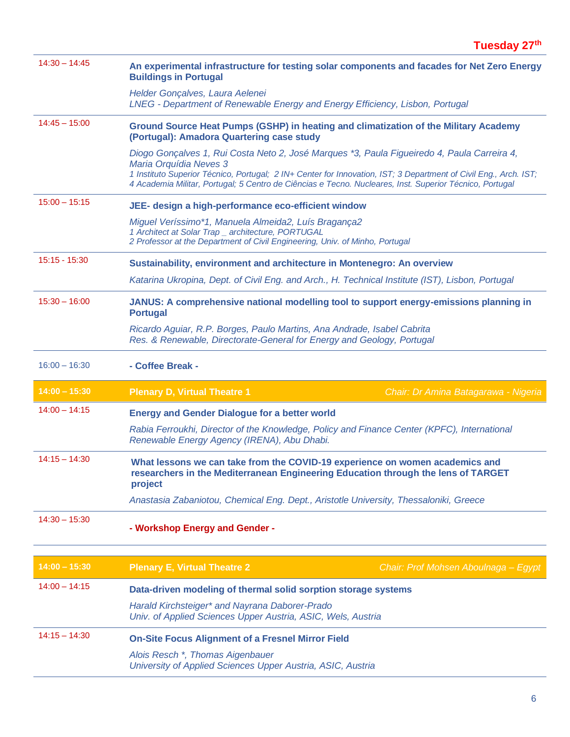| $14:30 - 14:45$ | An experimental infrastructure for testing solar components and facades for Net Zero Energy<br><b>Buildings in Portugal</b>                                                                                                                                                                                                                          |                                      |
|-----------------|------------------------------------------------------------------------------------------------------------------------------------------------------------------------------------------------------------------------------------------------------------------------------------------------------------------------------------------------------|--------------------------------------|
|                 | Helder Gonçalves, Laura Aelenei<br>LNEG - Department of Renewable Energy and Energy Efficiency, Lisbon, Portugal                                                                                                                                                                                                                                     |                                      |
| $14:45 - 15:00$ | Ground Source Heat Pumps (GSHP) in heating and climatization of the Military Academy<br>(Portugal): Amadora Quartering case study                                                                                                                                                                                                                    |                                      |
|                 | Diogo Gonçalves 1, Rui Costa Neto 2, José Marques *3, Paula Figueiredo 4, Paula Carreira 4,<br>Maria Orquídia Neves 3<br>1 Instituto Superior Técnico, Portugal; 2 IN+ Center for Innovation, IST; 3 Department of Civil Eng., Arch. IST;<br>4 Academia Militar, Portugal; 5 Centro de Ciências e Tecno. Nucleares, Inst. Superior Técnico, Portugal |                                      |
| $15:00 - 15:15$ | JEE- design a high-performance eco-efficient window                                                                                                                                                                                                                                                                                                  |                                      |
|                 | Miguel Veríssimo*1, Manuela Almeida2, Luís Bragança2<br>1 Architect at Solar Trap _ architecture, PORTUGAL<br>2 Professor at the Department of Civil Engineering, Univ. of Minho, Portugal                                                                                                                                                           |                                      |
| $15:15 - 15:30$ | Sustainability, environment and architecture in Montenegro: An overview                                                                                                                                                                                                                                                                              |                                      |
|                 | Katarina Ukropina, Dept. of Civil Eng. and Arch., H. Technical Institute (IST), Lisbon, Portugal                                                                                                                                                                                                                                                     |                                      |
| $15:30 - 16:00$ | JANUS: A comprehensive national modelling tool to support energy-emissions planning in<br><b>Portugal</b>                                                                                                                                                                                                                                            |                                      |
|                 | Ricardo Aguiar, R.P. Borges, Paulo Martins, Ana Andrade, Isabel Cabrita<br>Res. & Renewable, Directorate-General for Energy and Geology, Portugal                                                                                                                                                                                                    |                                      |
| $16:00 - 16:30$ | - Coffee Break -                                                                                                                                                                                                                                                                                                                                     |                                      |
| $14:00 - 15:30$ | <b>Plenary D, Virtual Theatre 1</b>                                                                                                                                                                                                                                                                                                                  | Chair: Dr Amina Batagarawa - Nigeria |
| $14:00 - 14:15$ | <b>Energy and Gender Dialogue for a better world</b>                                                                                                                                                                                                                                                                                                 |                                      |
|                 | Rabia Ferroukhi, Director of the Knowledge, Policy and Finance Center (KPFC), International<br>Renewable Energy Agency (IRENA), Abu Dhabi.                                                                                                                                                                                                           |                                      |
| $14:15 - 14:30$ | What lessons we can take from the COVID-19 experience on women academics and<br>researchers in the Mediterranean Engineering Education through the lens of TARGET<br>project                                                                                                                                                                         |                                      |
|                 | Anastasia Zabaniotou, Chemical Eng. Dept., Aristotle University, Thessaloniki, Greece                                                                                                                                                                                                                                                                |                                      |
| $14:30 - 15:30$ | - Workshop Energy and Gender -                                                                                                                                                                                                                                                                                                                       |                                      |
|                 |                                                                                                                                                                                                                                                                                                                                                      |                                      |
| $14:00 - 15:30$ | <b>Plenary E, Virtual Theatre 2</b>                                                                                                                                                                                                                                                                                                                  | Chair: Prof Mohsen Aboulnaga - Egypt |
| $14:00 - 14:15$ | Data-driven modeling of thermal solid sorption storage systems                                                                                                                                                                                                                                                                                       |                                      |
|                 | Harald Kirchsteiger* and Nayrana Daborer-Prado<br>Univ. of Applied Sciences Upper Austria, ASIC, Wels, Austria                                                                                                                                                                                                                                       |                                      |
| $14:15 - 14:30$ | <b>On-Site Focus Alignment of a Fresnel Mirror Field</b>                                                                                                                                                                                                                                                                                             |                                      |
|                 |                                                                                                                                                                                                                                                                                                                                                      |                                      |
|                 | Alois Resch <sup>*</sup> , Thomas Aigenbauer<br>University of Applied Sciences Upper Austria, ASIC, Austria                                                                                                                                                                                                                                          |                                      |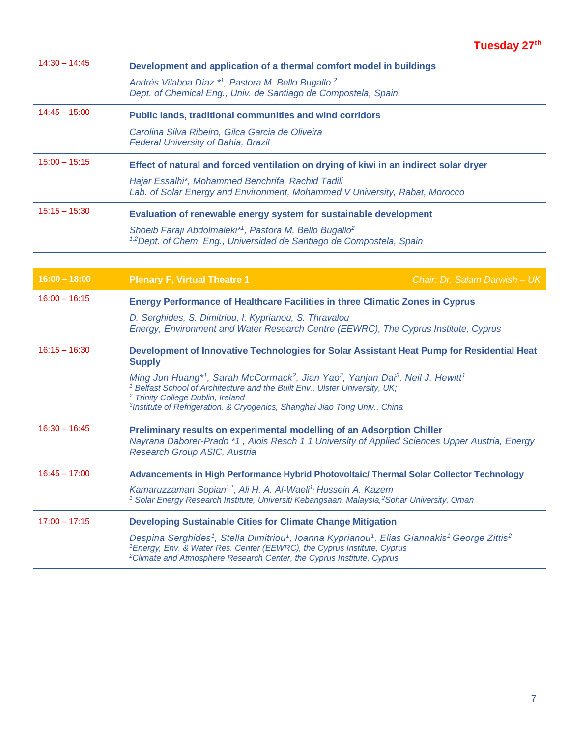| $14:30 - 14:45$ | Development and application of a thermal comfort model in buildings                                                                                                                                                                                                                                                                  |
|-----------------|--------------------------------------------------------------------------------------------------------------------------------------------------------------------------------------------------------------------------------------------------------------------------------------------------------------------------------------|
|                 | Andrés Vilaboa Díaz *1, Pastora M. Bello Bugallo <sup>2</sup><br>Dept. of Chemical Eng., Univ. de Santiago de Compostela, Spain.                                                                                                                                                                                                     |
| $14:45 - 15:00$ | Public lands, traditional communities and wind corridors                                                                                                                                                                                                                                                                             |
|                 | Carolina Silva Ribeiro, Gilca Garcia de Oliveira<br><b>Federal University of Bahia, Brazil</b>                                                                                                                                                                                                                                       |
| $15:00 - 15:15$ | Effect of natural and forced ventilation on drying of kiwi in an indirect solar dryer                                                                                                                                                                                                                                                |
|                 | Hajar Essalhi*, Mohammed Benchrifa, Rachid Tadili<br>Lab. of Solar Energy and Environment, Mohammed V University, Rabat, Morocco                                                                                                                                                                                                     |
| $15:15 - 15:30$ | Evaluation of renewable energy system for sustainable development                                                                                                                                                                                                                                                                    |
|                 | Shoeib Faraji Abdolmaleki <sup>*1</sup> , Pastora M. Bello Bugallo <sup>2</sup><br><sup>1,2</sup> Dept. of Chem. Eng., Universidad de Santiago de Compostela, Spain                                                                                                                                                                  |
|                 |                                                                                                                                                                                                                                                                                                                                      |
| $16:00 - 18:00$ | <b>Plenary F, Virtual Theatre 1</b><br>Chair: Dr. Salam Darwish - UK                                                                                                                                                                                                                                                                 |
| $16:00 - 16:15$ | <b>Energy Performance of Healthcare Facilities in three Climatic Zones in Cyprus</b>                                                                                                                                                                                                                                                 |
|                 | D. Serghides, S. Dimitriou, I. Kyprianou, S. Thravalou<br>Energy, Environment and Water Research Centre (EEWRC), The Cyprus Institute, Cyprus                                                                                                                                                                                        |
| $16:15 - 16:30$ | Development of Innovative Technologies for Solar Assistant Heat Pump for Residential Heat<br><b>Supply</b>                                                                                                                                                                                                                           |
|                 | Ming Jun Huang*1, Sarah McCormack <sup>2</sup> , Jian Yao <sup>3</sup> , Yanjun Dai <sup>3</sup> , Neil J. Hewitt <sup>1</sup><br><sup>1</sup> Belfast School of Architecture and the Built Env., Ulster University, UK;                                                                                                             |
|                 | <sup>2</sup> Trinity College Dublin, Ireland<br><sup>3</sup> Institute of Refrigeration. & Cryogenics, Shanghai Jiao Tong Univ., China                                                                                                                                                                                               |
| $16:30 - 16:45$ | Preliminary results on experimental modelling of an Adsorption Chiller<br>Nayrana Daborer-Prado *1, Alois Resch 1 1 University of Applied Sciences Upper Austria, Energy<br>Research Group ASIC, Austria                                                                                                                             |
| $16:45 - 17:00$ | Advancements in High Performance Hybrid Photovoltaic/ Thermal Solar Collector Technology                                                                                                                                                                                                                                             |
|                 | Kamaruzzaman Sopian <sup>1,*</sup> , Ali H. A. Al-Waeli <sup>1,</sup> Hussein A. Kazem<br><sup>1</sup> Solar Energy Research Institute, Universiti Kebangsaan, Malaysia, <sup>2</sup> Sohar University, Oman                                                                                                                         |
| $17:00 - 17:15$ | <b>Developing Sustainable Cities for Climate Change Mitigation</b>                                                                                                                                                                                                                                                                   |
|                 | Despina Serghides <sup>1</sup> , Stella Dimitriou <sup>1</sup> , Ioanna Kyprianou <sup>1</sup> , Elias Giannakis <sup>1</sup> George Zittis <sup>2</sup><br><sup>1</sup> Energy, Env. & Water Res. Center (EEWRC), the Cyprus Institute, Cyprus<br><sup>2</sup> Climate and Atmosphere Research Center, the Cyprus Institute, Cyprus |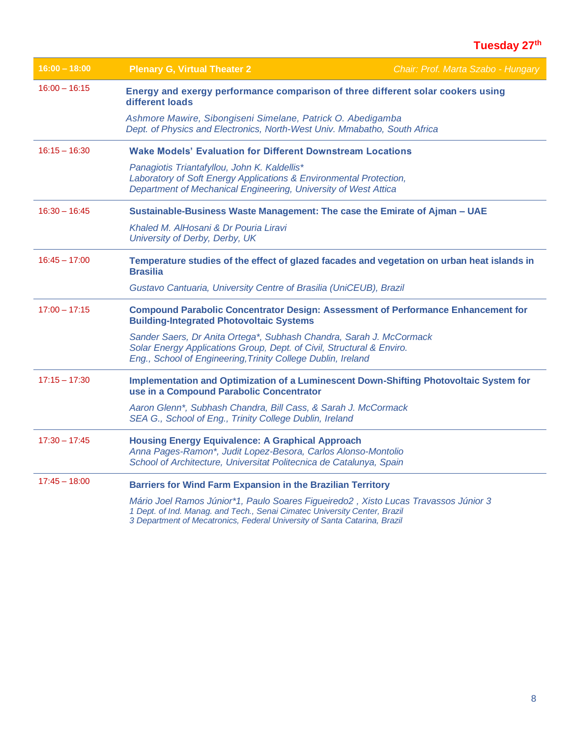| $16:00 - 18:00$ | <b>Plenary G, Virtual Theater 2</b>                                                                                                                                                                                                           | Chair: Prof. Marta Szabo - Hungary |
|-----------------|-----------------------------------------------------------------------------------------------------------------------------------------------------------------------------------------------------------------------------------------------|------------------------------------|
| $16:00 - 16:15$ | Energy and exergy performance comparison of three different solar cookers using<br>different loads                                                                                                                                            |                                    |
|                 | Ashmore Mawire, Sibongiseni Simelane, Patrick O. Abedigamba<br>Dept. of Physics and Electronics, North-West Univ. Mmabatho, South Africa                                                                                                      |                                    |
| $16:15 - 16:30$ | <b>Wake Models' Evaluation for Different Downstream Locations</b>                                                                                                                                                                             |                                    |
|                 | Panagiotis Triantafyllou, John K. Kaldellis*<br>Laboratory of Soft Energy Applications & Environmental Protection,<br>Department of Mechanical Engineering, University of West Attica                                                         |                                    |
| $16:30 - 16:45$ | Sustainable-Business Waste Management: The case the Emirate of Ajman - UAE                                                                                                                                                                    |                                    |
|                 | Khaled M. AlHosani & Dr Pouria Liravi<br>University of Derby, Derby, UK                                                                                                                                                                       |                                    |
| $16:45 - 17:00$ | Temperature studies of the effect of glazed facades and vegetation on urban heat islands in<br><b>Brasilia</b>                                                                                                                                |                                    |
|                 | Gustavo Cantuaria, University Centre of Brasilia (UniCEUB), Brazil                                                                                                                                                                            |                                    |
| $17:00 - 17:15$ | <b>Compound Parabolic Concentrator Design: Assessment of Performance Enhancement for</b><br><b>Building-Integrated Photovoltaic Systems</b>                                                                                                   |                                    |
|                 | Sander Saers, Dr Anita Ortega*, Subhash Chandra, Sarah J. McCormack<br>Solar Energy Applications Group, Dept. of Civil, Structural & Enviro.<br>Eng., School of Engineering, Trinity College Dublin, Ireland                                  |                                    |
| $17:15 - 17:30$ | Implementation and Optimization of a Luminescent Down-Shifting Photovoltaic System for<br>use in a Compound Parabolic Concentrator                                                                                                            |                                    |
|                 | Aaron Glenn*, Subhash Chandra, Bill Cass, & Sarah J. McCormack<br>SEA G., School of Eng., Trinity College Dublin, Ireland                                                                                                                     |                                    |
| $17:30 - 17:45$ | <b>Housing Energy Equivalence: A Graphical Approach</b><br>Anna Pages-Ramon*, Judit Lopez-Besora, Carlos Alonso-Montolio<br>School of Architecture, Universitat Politecnica de Catalunya, Spain                                               |                                    |
| $17:45 - 18:00$ | <b>Barriers for Wind Farm Expansion in the Brazilian Territory</b>                                                                                                                                                                            |                                    |
|                 | Mário Joel Ramos Júnior*1, Paulo Soares Figueiredo2, Xisto Lucas Travassos Júnior 3<br>1 Dept. of Ind. Manag. and Tech., Senai Cimatec University Center, Brazil<br>3 Department of Mecatronics, Federal University of Santa Catarina, Brazil |                                    |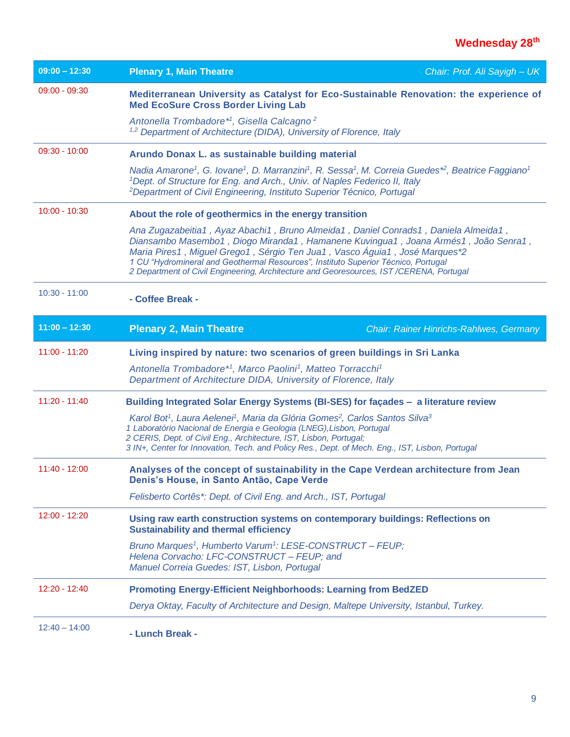| $09:00 - 12:30$ | <b>Plenary 1, Main Theatre</b>                                                                                                                                                                                                                                                                                                                                                                                                          | Chair: Prof. Ali Sayigh - UK                   |
|-----------------|-----------------------------------------------------------------------------------------------------------------------------------------------------------------------------------------------------------------------------------------------------------------------------------------------------------------------------------------------------------------------------------------------------------------------------------------|------------------------------------------------|
| $09:00 - 09:30$ | Mediterranean University as Catalyst for Eco-Sustainable Renovation: the experience of<br><b>Med EcoSure Cross Border Living Lab</b>                                                                                                                                                                                                                                                                                                    |                                                |
|                 | Antonella Trombadore <sup>*1</sup> , Gisella Calcagno <sup>2</sup><br><sup>1,2</sup> Department of Architecture (DIDA), University of Florence, Italy                                                                                                                                                                                                                                                                                   |                                                |
| $09:30 - 10:00$ | Arundo Donax L. as sustainable building material                                                                                                                                                                                                                                                                                                                                                                                        |                                                |
|                 | Nadia Amarone <sup>1</sup> , G. Iovane <sup>1</sup> , D. Marranzini <sup>1</sup> , R. Sessa <sup>1</sup> , M. Correia Guedes <sup>*2</sup> , Beatrice Faggiano <sup>1</sup><br><sup>1</sup> Dept. of Structure for Eng. and Arch., Univ. of Naples Federico II, Italy<br><sup>2</sup> Department of Civil Engineering, Instituto Superior Técnico, Portugal                                                                             |                                                |
| $10:00 - 10:30$ | About the role of geothermics in the energy transition                                                                                                                                                                                                                                                                                                                                                                                  |                                                |
|                 | Ana Zugazabeitia1, Ayaz Abachi1, Bruno Almeida1, Daniel Conrads1, Daniela Almeida1,<br>Diansambo Masembo1, Diogo Miranda1, Hamanene Kuvingua1, Joana Armés1, João Senra1,<br>Maria Pires1, Miguel Grego1, Sérgio Ten Jua1, Vasco Águia1, José Marques*2<br>1 CU "Hydromineral and Geothermal Resources", Instituto Superior Técnico, Portugal<br>2 Department of Civil Engineering, Architecture and Georesources, IST/CERENA, Portugal |                                                |
| $10:30 - 11:00$ | - Coffee Break -                                                                                                                                                                                                                                                                                                                                                                                                                        |                                                |
| $11:00 - 12:30$ | <b>Plenary 2, Main Theatre</b>                                                                                                                                                                                                                                                                                                                                                                                                          | <b>Chair: Rainer Hinrichs-Rahlwes, Germany</b> |
| $11:00 - 11:20$ | Living inspired by nature: two scenarios of green buildings in Sri Lanka                                                                                                                                                                                                                                                                                                                                                                |                                                |
|                 | Antonella Trombadore*1, Marco Paolini1, Matteo Torracchi1<br>Department of Architecture DIDA, University of Florence, Italy                                                                                                                                                                                                                                                                                                             |                                                |
| $11:20 - 11:40$ | Building Integrated Solar Energy Systems (BI-SES) for façades - a literature review                                                                                                                                                                                                                                                                                                                                                     |                                                |
|                 | Karol Bot <sup>1</sup> , Laura Aelenei <sup>1</sup> , Maria da Glória Gomes <sup>2</sup> , Carlos Santos Silva <sup>3</sup><br>1 Laboratório Nacional de Energia e Geologia (LNEG), Lisbon, Portugal<br>2 CERIS, Dept. of Civil Eng., Architecture, IST, Lisbon, Portugal;<br>3 IN+, Center for Innovation, Tech. and Policy Res., Dept. of Mech. Eng., IST, Lisbon, Portugal                                                           |                                                |
| $11:40 - 12:00$ | Analyses of the concept of sustainability in the Cape Verdean architecture from Jean<br>Denis's House, in Santo Antão, Cape Verde                                                                                                                                                                                                                                                                                                       |                                                |
|                 | Felisberto Cortês*: Dept. of Civil Eng. and Arch., IST, Portugal                                                                                                                                                                                                                                                                                                                                                                        |                                                |
| $12:00 - 12:20$ | Using raw earth construction systems on contemporary buildings: Reflections on<br><b>Sustainability and thermal efficiency</b>                                                                                                                                                                                                                                                                                                          |                                                |
|                 | Bruno Marques <sup>1</sup> , Humberto Varum <sup>1</sup> : LESE-CONSTRUCT - FEUP;<br>Helena Corvacho: LFC-CONSTRUCT - FEUP; and<br>Manuel Correia Guedes: IST, Lisbon, Portugal                                                                                                                                                                                                                                                         |                                                |
| 12:20 - 12:40   | <b>Promoting Energy-Efficient Neighborhoods: Learning from BedZED</b>                                                                                                                                                                                                                                                                                                                                                                   |                                                |
|                 | Derya Oktay, Faculty of Architecture and Design, Maltepe University, Istanbul, Turkey.                                                                                                                                                                                                                                                                                                                                                  |                                                |
| $12:40 - 14:00$ | - Lunch Break -                                                                                                                                                                                                                                                                                                                                                                                                                         |                                                |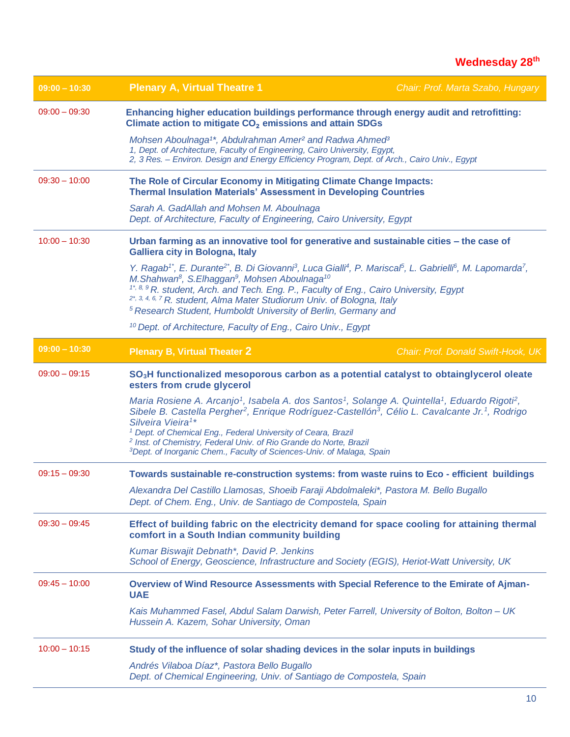#### **Wednesday 28 th**

| $09:00 - 10:30$                                                                                                                                      | <b>Plenary A, Virtual Theatre 1</b>                                                                                                                                                                                                                                                                                                                                                                                                                                                                                                                                      | Chair: Prof. Marta Szabo, Hungary  |
|------------------------------------------------------------------------------------------------------------------------------------------------------|--------------------------------------------------------------------------------------------------------------------------------------------------------------------------------------------------------------------------------------------------------------------------------------------------------------------------------------------------------------------------------------------------------------------------------------------------------------------------------------------------------------------------------------------------------------------------|------------------------------------|
| $09:00 - 09:30$                                                                                                                                      | Enhancing higher education buildings performance through energy audit and retrofitting:<br>Climate action to mitigate CO <sub>2</sub> emissions and attain SDGs                                                                                                                                                                                                                                                                                                                                                                                                          |                                    |
|                                                                                                                                                      | Mohsen Aboulnaga <sup>1*</sup> , Abdulrahman Amer <sup>2</sup> and Radwa Ahmed <sup>3</sup><br>1, Dept. of Architecture, Faculty of Engineering, Cairo University, Egypt,<br>2, 3 Res. - Environ. Design and Energy Efficiency Program, Dept. of Arch., Cairo Univ., Egypt                                                                                                                                                                                                                                                                                               |                                    |
| $09:30 - 10:00$                                                                                                                                      | The Role of Circular Economy in Mitigating Climate Change Impacts:<br><b>Thermal Insulation Materials' Assessment in Developing Countries</b>                                                                                                                                                                                                                                                                                                                                                                                                                            |                                    |
|                                                                                                                                                      | Sarah A. GadAllah and Mohsen M. Aboulnaga<br>Dept. of Architecture, Faculty of Engineering, Cairo University, Egypt                                                                                                                                                                                                                                                                                                                                                                                                                                                      |                                    |
| $10:00 - 10:30$                                                                                                                                      | Urban farming as an innovative tool for generative and sustainable cities - the case of<br><b>Galliera city in Bologna, Italy</b>                                                                                                                                                                                                                                                                                                                                                                                                                                        |                                    |
|                                                                                                                                                      | Y. Ragab <sup>1*</sup> , E. Durante <sup>2*</sup> , B. Di Giovanni <sup>3</sup> , Luca Gialli <sup>4</sup> , P. Mariscal <sup>5</sup> , L. Gabrielli <sup>6</sup> , M. Lapomarda <sup>7</sup> ,<br>M.Shahwan <sup>8</sup> , S.Elhaggan <sup>9</sup> , Mohsen Aboulnaga <sup>10</sup><br><sup>1*, 8, 9</sup> R. student, Arch. and Tech. Eng. P., Faculty of Eng., Cairo University, Egypt<br><sup>2*, 3, 4, 6, 7</sup> R. student, Alma Mater Studiorum Univ. of Bologna, Italy<br><sup>5</sup> Research Student, Humboldt University of Berlin, Germany and             |                                    |
|                                                                                                                                                      | <sup>10</sup> Dept. of Architecture, Faculty of Eng., Cairo Univ., Egypt                                                                                                                                                                                                                                                                                                                                                                                                                                                                                                 |                                    |
| $09:00 - 10:30$                                                                                                                                      | <b>Plenary B, Virtual Theater 2</b>                                                                                                                                                                                                                                                                                                                                                                                                                                                                                                                                      | Chair: Prof. Donald Swift-Hook, UK |
| $09:00 - 09:15$<br>SO <sub>3</sub> H functionalized mesoporous carbon as a potential catalyst to obtainglycerol oleate<br>esters from crude glycerol |                                                                                                                                                                                                                                                                                                                                                                                                                                                                                                                                                                          |                                    |
|                                                                                                                                                      | Maria Rosiene A. Arcanjo <sup>1</sup> , Isabela A. dos Santos <sup>1</sup> , Solange A. Quintella <sup>1</sup> , Eduardo Rigoti <sup>2</sup> ,<br>Sibele B. Castella Pergher <sup>2</sup> , Enrique Rodríguez-Castellón <sup>3</sup> , Célio L. Cavalcante Jr. <sup>1</sup> , Rodrigo<br>Silveira Vieira <sup>1*</sup><br><sup>1</sup> Dept. of Chemical Eng., Federal University of Ceara, Brazil<br><sup>2</sup> Inst. of Chemistry, Federal Univ. of Rio Grande do Norte, Brazil<br><sup>3</sup> Dept. of Inorganic Chem., Faculty of Sciences-Univ. of Malaga, Spain |                                    |
| $09:15 - 09:30$                                                                                                                                      | Towards sustainable re-construction systems: from waste ruins to Eco - efficient buildings                                                                                                                                                                                                                                                                                                                                                                                                                                                                               |                                    |
|                                                                                                                                                      | Alexandra Del Castillo Llamosas, Shoeib Faraji Abdolmaleki*, Pastora M. Bello Bugallo<br>Dept. of Chem. Eng., Univ. de Santiago de Compostela, Spain                                                                                                                                                                                                                                                                                                                                                                                                                     |                                    |
| $09:30 - 09:45$                                                                                                                                      | Effect of building fabric on the electricity demand for space cooling for attaining thermal<br>comfort in a South Indian community building                                                                                                                                                                                                                                                                                                                                                                                                                              |                                    |
|                                                                                                                                                      | Kumar Biswajit Debnath*, David P. Jenkins<br>School of Energy, Geoscience, Infrastructure and Society (EGIS), Heriot-Watt University, UK                                                                                                                                                                                                                                                                                                                                                                                                                                 |                                    |
| $09:45 - 10:00$                                                                                                                                      | Overview of Wind Resource Assessments with Special Reference to the Emirate of Ajman-<br><b>UAE</b>                                                                                                                                                                                                                                                                                                                                                                                                                                                                      |                                    |
|                                                                                                                                                      | Kais Muhammed Fasel, Abdul Salam Darwish, Peter Farrell, University of Bolton, Bolton - UK<br>Hussein A. Kazem, Sohar University, Oman                                                                                                                                                                                                                                                                                                                                                                                                                                   |                                    |
| $10:00 - 10:15$                                                                                                                                      | Study of the influence of solar shading devices in the solar inputs in buildings                                                                                                                                                                                                                                                                                                                                                                                                                                                                                         |                                    |
|                                                                                                                                                      | Andrés Vilaboa Díaz*, Pastora Bello Bugallo<br>Dept. of Chemical Engineering, Univ. of Santiago de Compostela, Spain                                                                                                                                                                                                                                                                                                                                                                                                                                                     |                                    |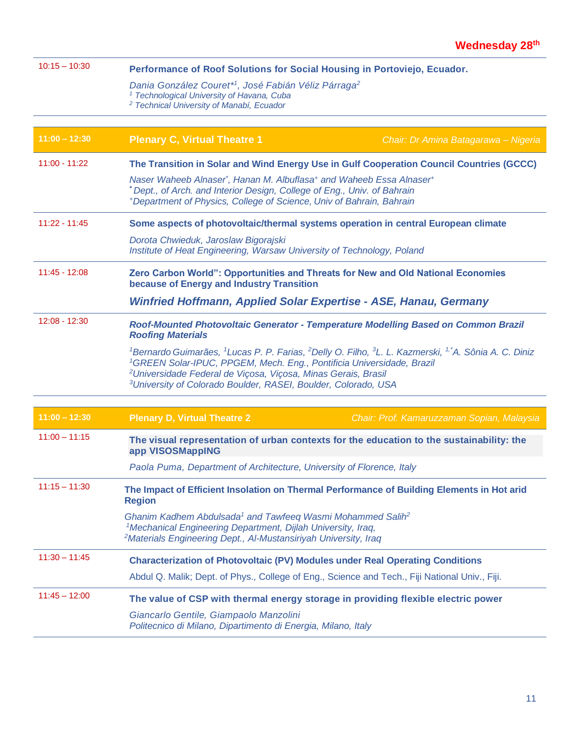| $10:15 - 10:30$ | Performance of Roof Solutions for Social Housing in Portoviejo, Ecuador.                                                                                                                                                                                    |                                                                                                                                                                  |  |
|-----------------|-------------------------------------------------------------------------------------------------------------------------------------------------------------------------------------------------------------------------------------------------------------|------------------------------------------------------------------------------------------------------------------------------------------------------------------|--|
|                 | Dania González Couret*1, José Fabián Véliz Párraga <sup>2</sup><br><sup>1</sup> Technological University of Havana, Cuba<br><sup>2</sup> Technical University of Manabí, Ecuador                                                                            |                                                                                                                                                                  |  |
|                 |                                                                                                                                                                                                                                                             |                                                                                                                                                                  |  |
| $11:00 - 12:30$ | <b>Plenary C, Virtual Theatre 1</b><br>Chair: Dr Amina Batagarawa - Nigeria                                                                                                                                                                                 |                                                                                                                                                                  |  |
| $11:00 - 11:22$ | The Transition in Solar and Wind Energy Use in Gulf Cooperation Council Countries (GCCC)                                                                                                                                                                    |                                                                                                                                                                  |  |
|                 | Naser Waheeb Alnaser <sup>*</sup> , Hanan M. Albuflasa <sup>+</sup> and Waheeb Essa Alnaser <sup>+</sup><br>*Dept., of Arch. and Interior Design, College of Eng., Univ. of Bahrain<br>*Department of Physics, College of Science, Univ of Bahrain, Bahrain |                                                                                                                                                                  |  |
| $11:22 - 11:45$ | Some aspects of photovoltaic/thermal systems operation in central European climate                                                                                                                                                                          |                                                                                                                                                                  |  |
|                 | Dorota Chwieduk, Jaroslaw Bigorajski<br>Institute of Heat Engineering, Warsaw University of Technology, Poland                                                                                                                                              |                                                                                                                                                                  |  |
| $11:45 - 12:08$ | Zero Carbon World": Opportunities and Threats for New and Old National Economies<br>because of Energy and Industry Transition                                                                                                                               |                                                                                                                                                                  |  |
|                 | Winfried Hoffmann, Applied Solar Expertise - ASE, Hanau, Germany                                                                                                                                                                                            |                                                                                                                                                                  |  |
| $12:08 - 12:30$ | Roof-Mounted Photovoltaic Generator - Temperature Modelling Based on Common Brazil<br><b>Roofing Materials</b>                                                                                                                                              |                                                                                                                                                                  |  |
|                 | <sup>1</sup> GREEN Solar-IPUC, PPGEM, Mech. Eng., Pontificia Universidade, Brazil<br><sup>2</sup> Universidade Federal de Viçosa, Viçosa, Minas Gerais, Brasil<br><sup>3</sup> University of Colorado Boulder, RASEI, Boulder, Colorado, USA                | <sup>1</sup> Bernardo Guimarães, <sup>1</sup> Lucas P. P. Farias, <sup>2</sup> Delly O. Filho, <sup>3</sup> L. L. Kazmerski, <sup>1,*</sup> A. Sônia A. C. Diniz |  |
|                 |                                                                                                                                                                                                                                                             |                                                                                                                                                                  |  |
| $11:00 - 12:30$ | <b>Plenary D, Virtual Theatre 2</b>                                                                                                                                                                                                                         | Chair: Prof. Kamaruzzaman Sopian, Malaysia                                                                                                                       |  |
| $11:00 - 11:15$ | app VISOSMappING                                                                                                                                                                                                                                            | The visual representation of urban contexts for the education to the sustainability: the                                                                         |  |
|                 | Paola Puma, Department of Architecture, University of Florence, Italy                                                                                                                                                                                       |                                                                                                                                                                  |  |
| $11:15 - 11:30$ | <b>Region</b>                                                                                                                                                                                                                                               | The Impact of Efficient Insolation on Thermal Performance of Building Elements in Hot arid                                                                       |  |
|                 | Ghanim Kadhem Abdulsada <sup>1</sup> and Tawfeeq Wasmi Mohammed Salih <sup>2</sup><br><sup>1</sup> Mechanical Engineering Department, Dijlah University, Iraq,<br><sup>2</sup> Materials Engineering Dept., Al-Mustansiriyah University, Iraq               |                                                                                                                                                                  |  |
| $11:30 - 11:45$ | <b>Characterization of Photovoltaic (PV) Modules under Real Operating Conditions</b>                                                                                                                                                                        |                                                                                                                                                                  |  |
|                 | Abdul Q. Malik; Dept. of Phys., College of Eng., Science and Tech., Fiji National Univ., Fiji.                                                                                                                                                              |                                                                                                                                                                  |  |
| $11:45 - 12:00$ | The value of CSP with thermal energy storage in providing flexible electric power                                                                                                                                                                           |                                                                                                                                                                  |  |
|                 | Giancarlo Gentile, Giampaolo Manzolini<br>Politecnico di Milano, Dipartimento di Energia, Milano, Italy                                                                                                                                                     |                                                                                                                                                                  |  |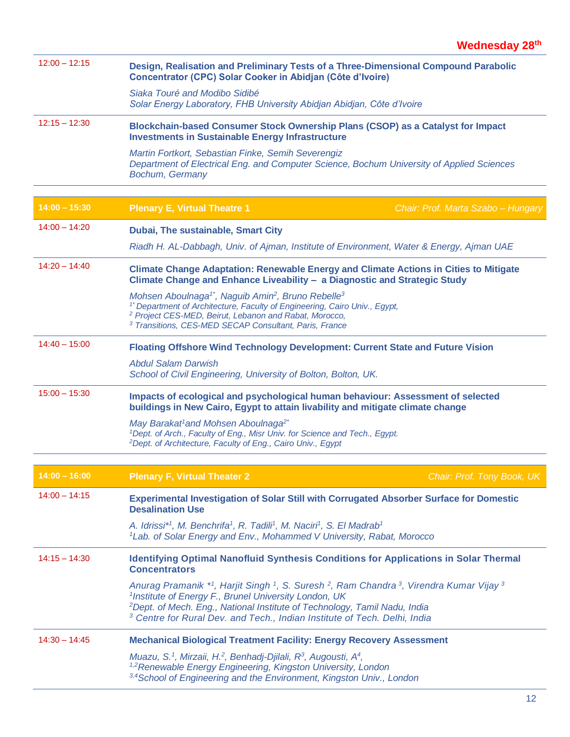| $12:00 - 12:15$ | Design, Realisation and Preliminary Tests of a Three-Dimensional Compound Parabolic<br>Concentrator (CPC) Solar Cooker in Abidjan (Côte d'Ivoire)                                                                                                                                                                                                                               |
|-----------------|---------------------------------------------------------------------------------------------------------------------------------------------------------------------------------------------------------------------------------------------------------------------------------------------------------------------------------------------------------------------------------|
|                 | Siaka Touré and Modibo Sidibé<br>Solar Energy Laboratory, FHB University Abidjan Abidjan, Côte d'Ivoire                                                                                                                                                                                                                                                                         |
| $12:15 - 12:30$ | Blockchain-based Consumer Stock Ownership Plans (CSOP) as a Catalyst for Impact<br><b>Investments in Sustainable Energy Infrastructure</b>                                                                                                                                                                                                                                      |
|                 | Martin Fortkort, Sebastian Finke, Semih Severengiz<br>Department of Electrical Eng. and Computer Science, Bochum University of Applied Sciences<br>Bochum, Germany                                                                                                                                                                                                              |
| $14:00 - 15:30$ | <b>Plenary E, Virtual Theatre 1</b><br>Chair: Prof. Marta Szabo - Hungary                                                                                                                                                                                                                                                                                                       |
| $14:00 - 14:20$ | Dubai, The sustainable, Smart City                                                                                                                                                                                                                                                                                                                                              |
|                 | Riadh H. AL-Dabbagh, Univ. of Ajman, Institute of Environment, Water & Energy, Ajman UAE                                                                                                                                                                                                                                                                                        |
| $14:20 - 14:40$ | Climate Change Adaptation: Renewable Energy and Climate Actions in Cities to Mitigate<br>Climate Change and Enhance Liveability - a Diagnostic and Strategic Study                                                                                                                                                                                                              |
|                 | Mohsen Aboulnaga <sup>1*</sup> , Naguib Amin <sup>2</sup> , Bruno Rebelle <sup>3</sup><br><sup>1*</sup> Department of Architecture, Faculty of Engineering, Cairo Univ., Egypt,<br><sup>2</sup> Project CES-MED, Beirut, Lebanon and Rabat, Morocco,<br><sup>3</sup> Transitions, CES-MED SECAP Consultant, Paris, France                                                       |
| $14:40 - 15:00$ | Floating Offshore Wind Technology Development: Current State and Future Vision                                                                                                                                                                                                                                                                                                  |
|                 | <b>Abdul Salam Darwish</b><br>School of Civil Engineering, University of Bolton, Bolton, UK.                                                                                                                                                                                                                                                                                    |
| $15:00 - 15:30$ | Impacts of ecological and psychological human behaviour: Assessment of selected<br>buildings in New Cairo, Egypt to attain livability and mitigate climate change                                                                                                                                                                                                               |
|                 | May Barakat <sup>1</sup> and Mohsen Aboulnaga <sup>2*</sup><br><sup>1</sup> Dept. of Arch., Faculty of Eng., Misr Univ. for Science and Tech., Egypt.<br><sup>2</sup> Dept. of Architecture, Faculty of Eng., Cairo Univ., Egypt                                                                                                                                                |
| $14:00 - 16:00$ |                                                                                                                                                                                                                                                                                                                                                                                 |
|                 | <b>Plenary F, Virtual Theater 2</b><br>Chair: Prof. Tony Book, UK                                                                                                                                                                                                                                                                                                               |
| $14:00 - 14:15$ | Experimental Investigation of Solar Still with Corrugated Absorber Surface for Domestic<br><b>Desalination Use</b>                                                                                                                                                                                                                                                              |
|                 | A. Idrissi <sup>*1</sup> , M. Benchrifa <sup>1</sup> , R. Tadili <sup>1</sup> , M. Naciri <sup>1</sup> , S. El Madrab <sup>1</sup><br><sup>1</sup> Lab. of Solar Energy and Env., Mohammed V University, Rabat, Morocco                                                                                                                                                         |
| $14:15 - 14:30$ | <b>Identifying Optimal Nanofluid Synthesis Conditions for Applications in Solar Thermal</b><br><b>Concentrators</b>                                                                                                                                                                                                                                                             |
|                 | Anurag Pramanik *1, Harjit Singh 1, S. Suresh <sup>2</sup> , Ram Chandra <sup>3</sup> , Virendra Kumar Vijay <sup>3</sup><br><sup>1</sup> Institute of Energy F., Brunel University London, UK<br><sup>2</sup> Dept. of Mech. Eng., National Institute of Technology, Tamil Nadu, India<br><sup>3</sup> Centre for Rural Dev. and Tech., Indian Institute of Tech. Delhi, India |
| $14:30 - 14:45$ | <b>Mechanical Biological Treatment Facility: Energy Recovery Assessment</b>                                                                                                                                                                                                                                                                                                     |
|                 | Muazu, S. <sup>1</sup> , Mirzaii, H. <sup>2</sup> , Benhadj-Djilali, R <sup>3</sup> , Augousti, A <sup>4</sup> ,<br><sup>1,2</sup> Renewable Energy Engineering, Kingston University, London<br><sup>3,4</sup> School of Engineering and the Environment, Kingston Univ., London                                                                                                |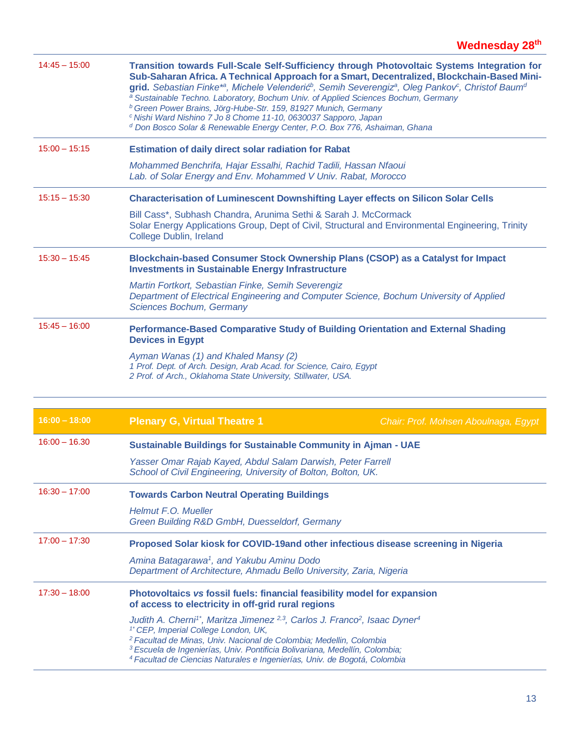| $14:45 - 15:00$ | Transition towards Full-Scale Self-Sufficiency through Photovoltaic Systems Integration for<br>Sub-Saharan Africa. A Technical Approach for a Smart, Decentralized, Blockchain-Based Mini-<br>grid. Sebastian Finke* <sup>a</sup> , Michele Velenderić <sup>b</sup> , Semih Severengiz <sup>a</sup> , Oleg Pankov <sup>c</sup> , Christof Baum <sup>d</sup><br><sup>a</sup> Sustainable Techno. Laboratory, Bochum Univ. of Applied Sciences Bochum, Germany<br><sup>b</sup> Green Power Brains, Jörg-Hube-Str. 159, 81927 Munich, Germany<br><sup>c</sup> Nishi Ward Nishino 7 Jo 8 Chome 11-10, 0630037 Sapporo, Japan<br><sup>d</sup> Don Bosco Solar & Renewable Energy Center, P.O. Box 776, Ashaiman, Ghana |                                                                                                                                                                      |  |  |  |
|-----------------|-------------------------------------------------------------------------------------------------------------------------------------------------------------------------------------------------------------------------------------------------------------------------------------------------------------------------------------------------------------------------------------------------------------------------------------------------------------------------------------------------------------------------------------------------------------------------------------------------------------------------------------------------------------------------------------------------------------------|----------------------------------------------------------------------------------------------------------------------------------------------------------------------|--|--|--|
| $15:00 - 15:15$ | <b>Estimation of daily direct solar radiation for Rabat</b>                                                                                                                                                                                                                                                                                                                                                                                                                                                                                                                                                                                                                                                       |                                                                                                                                                                      |  |  |  |
|                 |                                                                                                                                                                                                                                                                                                                                                                                                                                                                                                                                                                                                                                                                                                                   | Mohammed Benchrifa, Hajar Essalhi, Rachid Tadili, Hassan Nfaoui<br>Lab. of Solar Energy and Env. Mohammed V Univ. Rabat, Morocco                                     |  |  |  |
| $15:15 - 15:30$ | <b>Characterisation of Luminescent Downshifting Layer effects on Silicon Solar Cells</b>                                                                                                                                                                                                                                                                                                                                                                                                                                                                                                                                                                                                                          |                                                                                                                                                                      |  |  |  |
|                 | College Dublin, Ireland                                                                                                                                                                                                                                                                                                                                                                                                                                                                                                                                                                                                                                                                                           | Bill Cass*, Subhash Chandra, Arunima Sethi & Sarah J. McCormack<br>Solar Energy Applications Group, Dept of Civil, Structural and Environmental Engineering, Trinity |  |  |  |
| $15:30 - 15:45$ | Blockchain-based Consumer Stock Ownership Plans (CSOP) as a Catalyst for Impact<br><b>Investments in Sustainable Energy Infrastructure</b>                                                                                                                                                                                                                                                                                                                                                                                                                                                                                                                                                                        |                                                                                                                                                                      |  |  |  |
|                 | Martin Fortkort, Sebastian Finke, Semih Severengiz<br>Department of Electrical Engineering and Computer Science, Bochum University of Applied<br>Sciences Bochum, Germany                                                                                                                                                                                                                                                                                                                                                                                                                                                                                                                                         |                                                                                                                                                                      |  |  |  |
| $15:45 - 16:00$ | Performance-Based Comparative Study of Building Orientation and External Shading<br><b>Devices in Egypt</b>                                                                                                                                                                                                                                                                                                                                                                                                                                                                                                                                                                                                       |                                                                                                                                                                      |  |  |  |
|                 | Ayman Wanas (1) and Khaled Mansy (2)<br>1 Prof. Dept. of Arch. Design, Arab Acad. for Science, Cairo, Egypt<br>2 Prof. of Arch., Oklahoma State University, Stillwater, USA.                                                                                                                                                                                                                                                                                                                                                                                                                                                                                                                                      |                                                                                                                                                                      |  |  |  |
|                 |                                                                                                                                                                                                                                                                                                                                                                                                                                                                                                                                                                                                                                                                                                                   |                                                                                                                                                                      |  |  |  |
| $16:00 - 18:00$ | <b>Plenary G, Virtual Theatre 1</b>                                                                                                                                                                                                                                                                                                                                                                                                                                                                                                                                                                                                                                                                               | Chair: Prof. Mohsen Aboulnaga, Egypt                                                                                                                                 |  |  |  |
|                 |                                                                                                                                                                                                                                                                                                                                                                                                                                                                                                                                                                                                                                                                                                                   |                                                                                                                                                                      |  |  |  |
| $16:00 - 16.30$ | <b>Sustainable Buildings for Sustainable Community in Ajman - UAE</b>                                                                                                                                                                                                                                                                                                                                                                                                                                                                                                                                                                                                                                             |                                                                                                                                                                      |  |  |  |
|                 | Yasser Omar Rajab Kayed, Abdul Salam Darwish, Peter Farrell<br>School of Civil Engineering, University of Bolton, Bolton, UK.                                                                                                                                                                                                                                                                                                                                                                                                                                                                                                                                                                                     |                                                                                                                                                                      |  |  |  |
| $16:30 - 17:00$ | <b>Towards Carbon Neutral Operating Buildings</b>                                                                                                                                                                                                                                                                                                                                                                                                                                                                                                                                                                                                                                                                 |                                                                                                                                                                      |  |  |  |
|                 | Helmut F.O. Mueller<br>Green Building R&D GmbH, Duesseldorf, Germany                                                                                                                                                                                                                                                                                                                                                                                                                                                                                                                                                                                                                                              |                                                                                                                                                                      |  |  |  |
| $17:00 - 17:30$ | Proposed Solar kiosk for COVID-19and other infectious disease screening in Nigeria                                                                                                                                                                                                                                                                                                                                                                                                                                                                                                                                                                                                                                |                                                                                                                                                                      |  |  |  |
|                 | Amina Batagarawa <sup>1</sup> , and Yakubu Aminu Dodo<br>Department of Architecture, Ahmadu Bello University, Zaria, Nigeria                                                                                                                                                                                                                                                                                                                                                                                                                                                                                                                                                                                      |                                                                                                                                                                      |  |  |  |
| $17:30 - 18:00$ | Photovoltaics vs fossil fuels: financial feasibility model for expansion<br>of access to electricity in off-grid rural regions                                                                                                                                                                                                                                                                                                                                                                                                                                                                                                                                                                                    |                                                                                                                                                                      |  |  |  |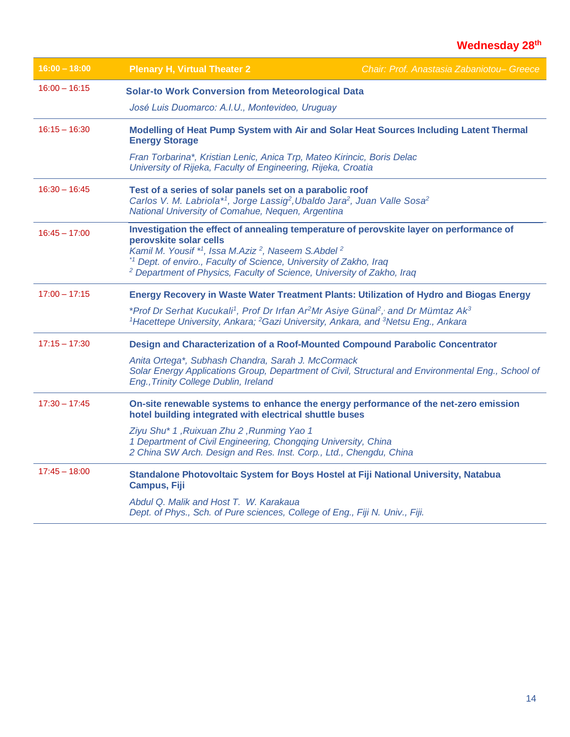| $16:00 - 18:00$ | <b>Plenary H, Virtual Theater 2</b>                                                                                                                                                                                                                                                                                                                                    | Chair: Prof. Anastasia Zabaniotou- Greece |
|-----------------|------------------------------------------------------------------------------------------------------------------------------------------------------------------------------------------------------------------------------------------------------------------------------------------------------------------------------------------------------------------------|-------------------------------------------|
| $16:00 - 16:15$ | <b>Solar-to Work Conversion from Meteorological Data</b>                                                                                                                                                                                                                                                                                                               |                                           |
|                 | José Luis Duomarco: A.I.U., Montevideo, Uruguay                                                                                                                                                                                                                                                                                                                        |                                           |
| $16:15 - 16:30$ | Modelling of Heat Pump System with Air and Solar Heat Sources Including Latent Thermal<br><b>Energy Storage</b>                                                                                                                                                                                                                                                        |                                           |
|                 | Fran Torbarina*, Kristian Lenic, Anica Trp, Mateo Kirincic, Boris Delac<br>University of Rijeka, Faculty of Engineering, Rijeka, Croatia                                                                                                                                                                                                                               |                                           |
| $16:30 - 16:45$ | Test of a series of solar panels set on a parabolic roof<br>Carlos V. M. Labriola* <sup>1</sup> , Jorge Lassig <sup>2</sup> , Ubaldo Jara <sup>2</sup> , Juan Valle Sosa <sup>2</sup><br>National University of Comahue, Nequen, Argentina                                                                                                                             |                                           |
| $16:45 - 17:00$ | Investigation the effect of annealing temperature of perovskite layer on performance of<br>perovskite solar cells<br>Kamil M. Yousif *1, Issa M.Aziz <sup>2</sup> , Naseem S.Abdel <sup>2</sup><br>* <sup>1</sup> Dept. of enviro., Faculty of Science, University of Zakho, Iraq<br><sup>2</sup> Department of Physics, Faculty of Science, University of Zakho, Iraq |                                           |
| $17:00 - 17:15$ | Energy Recovery in Waste Water Treatment Plants: Utilization of Hydro and Biogas Energy                                                                                                                                                                                                                                                                                |                                           |
|                 | *Prof Dr Serhat Kucukali <sup>1</sup> , Prof Dr Irfan Ar <sup>2</sup> Mr Asiye Günal <sup>2</sup> , and Dr Mümtaz Ak <sup>3</sup><br><sup>1</sup> Hacettepe University, Ankara; <sup>2</sup> Gazi University, Ankara, and <sup>3</sup> Netsu Eng., Ankara                                                                                                              |                                           |
| $17:15 - 17:30$ | Design and Characterization of a Roof-Mounted Compound Parabolic Concentrator                                                                                                                                                                                                                                                                                          |                                           |
|                 | Anita Ortega*, Subhash Chandra, Sarah J. McCormack<br>Solar Energy Applications Group, Department of Civil, Structural and Environmental Eng., School of<br>Eng., Trinity College Dublin, Ireland                                                                                                                                                                      |                                           |
| $17:30 - 17:45$ | On-site renewable systems to enhance the energy performance of the net-zero emission<br>hotel building integrated with electrical shuttle buses                                                                                                                                                                                                                        |                                           |
|                 | Ziyu Shu* 1, Ruixuan Zhu 2, Runming Yao 1<br>1 Department of Civil Engineering, Chongqing University, China<br>2 China SW Arch. Design and Res. Inst. Corp., Ltd., Chengdu, China                                                                                                                                                                                      |                                           |
| $17:45 - 18:00$ | Standalone Photovoltaic System for Boys Hostel at Fiji National University, Natabua<br><b>Campus, Fiji</b>                                                                                                                                                                                                                                                             |                                           |
|                 | Abdul Q. Malik and Host T. W. Karakaua<br>Dept. of Phys., Sch. of Pure sciences, College of Eng., Fiji N. Univ., Fiji.                                                                                                                                                                                                                                                 |                                           |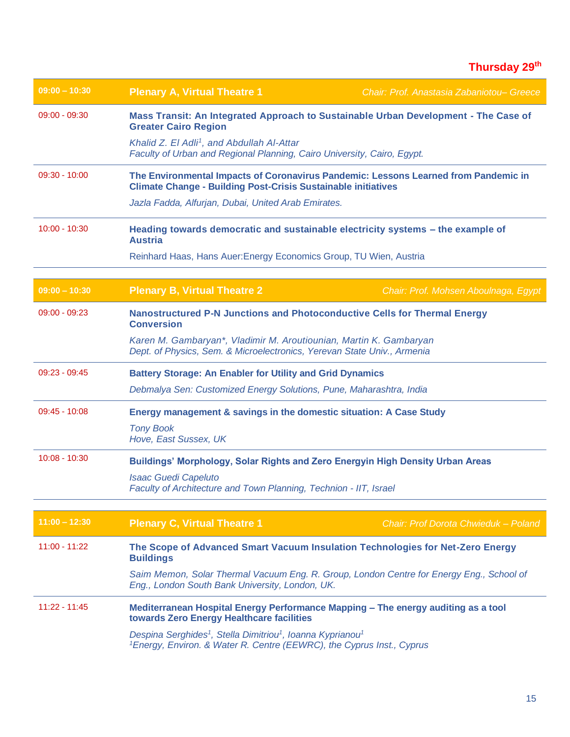| $09:00 - 10:30$ | <b>Plenary A, Virtual Theatre 1</b>                                                                                                                                                 | Chair: Prof. Anastasia Zabaniotou- Greece                                                |  |  |  |
|-----------------|-------------------------------------------------------------------------------------------------------------------------------------------------------------------------------------|------------------------------------------------------------------------------------------|--|--|--|
| $09:00 - 09:30$ | Mass Transit: An Integrated Approach to Sustainable Urban Development - The Case of<br><b>Greater Cairo Region</b>                                                                  |                                                                                          |  |  |  |
|                 | Khalid Z. El Adli <sup>1</sup> , and Abdullah Al-Attar<br>Faculty of Urban and Regional Planning, Cairo University, Cairo, Egypt.                                                   |                                                                                          |  |  |  |
| $09:30 - 10:00$ | The Environmental Impacts of Coronavirus Pandemic: Lessons Learned from Pandemic in<br><b>Climate Change - Building Post-Crisis Sustainable initiatives</b>                         |                                                                                          |  |  |  |
|                 | Jazla Fadda, Alfurjan, Dubai, United Arab Emirates.                                                                                                                                 |                                                                                          |  |  |  |
| $10:00 - 10:30$ | <b>Austria</b>                                                                                                                                                                      | Heading towards democratic and sustainable electricity systems - the example of          |  |  |  |
|                 | Reinhard Haas, Hans Auer: Energy Economics Group, TU Wien, Austria                                                                                                                  |                                                                                          |  |  |  |
| $09:00 - 10:30$ | <b>Plenary B, Virtual Theatre 2</b>                                                                                                                                                 | Chair: Prof. Mohsen Aboulnaga, Egypt                                                     |  |  |  |
|                 |                                                                                                                                                                                     |                                                                                          |  |  |  |
| $09:00 - 09:23$ | Nanostructured P-N Junctions and Photoconductive Cells for Thermal Energy<br><b>Conversion</b>                                                                                      |                                                                                          |  |  |  |
|                 | Karen M. Gambaryan*, Vladimir M. Aroutiounian, Martin K. Gambaryan<br>Dept. of Physics, Sem. & Microelectronics, Yerevan State Univ., Armenia                                       |                                                                                          |  |  |  |
| $09:23 - 09:45$ | <b>Battery Storage: An Enabler for Utility and Grid Dynamics</b>                                                                                                                    |                                                                                          |  |  |  |
|                 | Debmalya Sen: Customized Energy Solutions, Pune, Maharashtra, India                                                                                                                 |                                                                                          |  |  |  |
| $09:45 - 10:08$ | Energy management & savings in the domestic situation: A Case Study                                                                                                                 |                                                                                          |  |  |  |
|                 | <b>Tony Book</b><br>Hove, East Sussex, UK                                                                                                                                           |                                                                                          |  |  |  |
| $10:08 - 10:30$ | Buildings' Morphology, Solar Rights and Zero Energyin High Density Urban Areas                                                                                                      |                                                                                          |  |  |  |
|                 | <b>Isaac Guedi Capeluto</b><br>Faculty of Architecture and Town Planning, Technion - IIT, Israel                                                                                    |                                                                                          |  |  |  |
|                 |                                                                                                                                                                                     |                                                                                          |  |  |  |
| $11:00 - 12:30$ | <b>Plenary C, Virtual Theatre 1</b>                                                                                                                                                 | Chair: Prof Dorota Chwieduk - Poland                                                     |  |  |  |
| $11:00 - 11:22$ | <b>Buildings</b>                                                                                                                                                                    | The Scope of Advanced Smart Vacuum Insulation Technologies for Net-Zero Energy           |  |  |  |
|                 | Eng., London South Bank University, London, UK.                                                                                                                                     | Saim Memon, Solar Thermal Vacuum Eng. R. Group, London Centre for Energy Eng., School of |  |  |  |
| $11:22 - 11:45$ | towards Zero Energy Healthcare facilities                                                                                                                                           | Mediterranean Hospital Energy Performance Mapping - The energy auditing as a tool        |  |  |  |
|                 | Despina Serghides <sup>1</sup> , Stella Dimitriou <sup>1</sup> , Ioanna Kyprianou <sup>1</sup><br><sup>1</sup> Energy, Environ. & Water R. Centre (EEWRC), the Cyprus Inst., Cyprus |                                                                                          |  |  |  |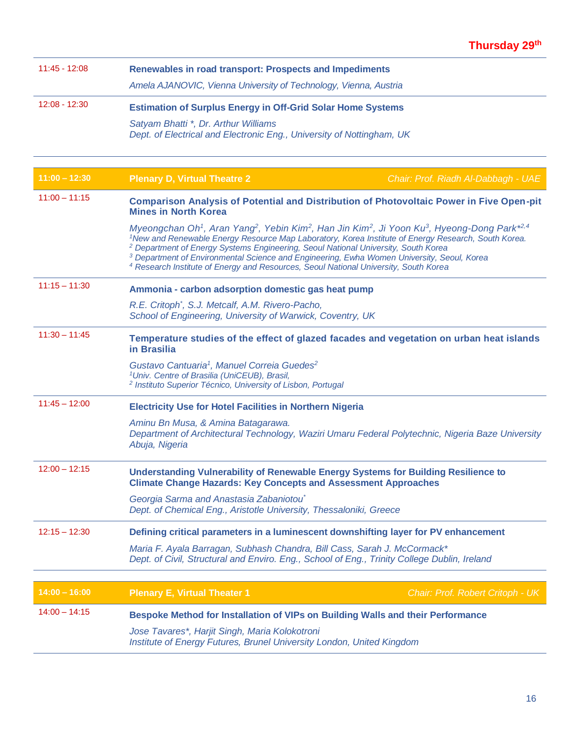| $11:45 - 12:08$ | Renewables in road transport: Prospects and Impediments                                                                                                                                                                                                                                                                                                                                                                                                                                                                                                                                              |                                     |  |  |  |
|-----------------|------------------------------------------------------------------------------------------------------------------------------------------------------------------------------------------------------------------------------------------------------------------------------------------------------------------------------------------------------------------------------------------------------------------------------------------------------------------------------------------------------------------------------------------------------------------------------------------------------|-------------------------------------|--|--|--|
|                 | Amela AJANOVIC, Vienna University of Technology, Vienna, Austria                                                                                                                                                                                                                                                                                                                                                                                                                                                                                                                                     |                                     |  |  |  |
| 12:08 - 12:30   | <b>Estimation of Surplus Energy in Off-Grid Solar Home Systems</b>                                                                                                                                                                                                                                                                                                                                                                                                                                                                                                                                   |                                     |  |  |  |
|                 | Satyam Bhatti *, Dr. Arthur Williams<br>Dept. of Electrical and Electronic Eng., University of Nottingham, UK                                                                                                                                                                                                                                                                                                                                                                                                                                                                                        |                                     |  |  |  |
| $11:00 - 12:30$ | <b>Plenary D, Virtual Theatre 2</b>                                                                                                                                                                                                                                                                                                                                                                                                                                                                                                                                                                  | Chair: Prof. Riadh Al-Dabbagh - UAE |  |  |  |
| $11:00 - 11:15$ | Comparison Analysis of Potential and Distribution of Photovoltaic Power in Five Open-pit<br><b>Mines in North Korea</b>                                                                                                                                                                                                                                                                                                                                                                                                                                                                              |                                     |  |  |  |
|                 | Myeongchan Oh <sup>1</sup> , Aran Yang <sup>2</sup> , Yebin Kim <sup>2</sup> , Han Jin Kim <sup>2</sup> , Ji Yoon Ku <sup>3</sup> , Hyeong-Dong Park <sup>*2,4</sup><br><sup>1</sup> New and Renewable Energy Resource Map Laboratory, Korea Institute of Energy Research, South Korea.<br><sup>2</sup> Department of Energy Systems Engineering, Seoul National University, South Korea<br><sup>3</sup> Department of Environmental Science and Engineering, Ewha Women University, Seoul, Korea<br><sup>4</sup> Research Institute of Energy and Resources, Seoul National University, South Korea |                                     |  |  |  |
| $11:15 - 11:30$ | Ammonia - carbon adsorption domestic gas heat pump                                                                                                                                                                                                                                                                                                                                                                                                                                                                                                                                                   |                                     |  |  |  |
|                 | R.E. Critoph <sup>*</sup> , S.J. Metcalf, A.M. Rivero-Pacho,<br>School of Engineering, University of Warwick, Coventry, UK                                                                                                                                                                                                                                                                                                                                                                                                                                                                           |                                     |  |  |  |
| $11:30 - 11:45$ | Temperature studies of the effect of glazed facades and vegetation on urban heat islands<br>in Brasilia                                                                                                                                                                                                                                                                                                                                                                                                                                                                                              |                                     |  |  |  |
|                 | Gustavo Cantuaria <sup>1</sup> , Manuel Correia Guedes <sup>2</sup><br><sup>1</sup> Univ. Centre of Brasilia (UniCEUB), Brasil,<br><sup>2</sup> Instituto Superior Técnico, University of Lisbon, Portugal                                                                                                                                                                                                                                                                                                                                                                                           |                                     |  |  |  |
| $11:45 - 12:00$ | <b>Electricity Use for Hotel Facilities in Northern Nigeria</b>                                                                                                                                                                                                                                                                                                                                                                                                                                                                                                                                      |                                     |  |  |  |
|                 | Aminu Bn Musa, & Amina Batagarawa.<br>Department of Architectural Technology, Waziri Umaru Federal Polytechnic, Nigeria Baze University<br>Abuja, Nigeria                                                                                                                                                                                                                                                                                                                                                                                                                                            |                                     |  |  |  |
| $12:00 - 12:15$ | Understanding Vulnerability of Renewable Energy Systems for Building Resilience to<br><b>Climate Change Hazards: Key Concepts and Assessment Approaches</b>                                                                                                                                                                                                                                                                                                                                                                                                                                          |                                     |  |  |  |
|                 | Georgia Sarma and Anastasia Zabaniotou <sup>®</sup><br>Dept. of Chemical Eng., Aristotle University, Thessaloniki, Greece                                                                                                                                                                                                                                                                                                                                                                                                                                                                            |                                     |  |  |  |
| $12:15 - 12:30$ | Defining critical parameters in a luminescent downshifting layer for PV enhancement                                                                                                                                                                                                                                                                                                                                                                                                                                                                                                                  |                                     |  |  |  |
|                 | Maria F. Ayala Barragan, Subhash Chandra, Bill Cass, Sarah J. McCormack*<br>Dept. of Civil, Structural and Enviro. Eng., School of Eng., Trinity College Dublin, Ireland                                                                                                                                                                                                                                                                                                                                                                                                                             |                                     |  |  |  |
|                 |                                                                                                                                                                                                                                                                                                                                                                                                                                                                                                                                                                                                      |                                     |  |  |  |
| $14:00 - 16:00$ | <b>Plenary E, Virtual Theater 1</b>                                                                                                                                                                                                                                                                                                                                                                                                                                                                                                                                                                  | Chair: Prof. Robert Critoph - UK    |  |  |  |
| $14:00 - 14:15$ | Bespoke Method for Installation of VIPs on Building Walls and their Performance                                                                                                                                                                                                                                                                                                                                                                                                                                                                                                                      |                                     |  |  |  |
|                 | Jose Tavares*, Harjit Singh, Maria Kolokotroni<br>Institute of Energy Futures, Brunel University London, United Kingdom                                                                                                                                                                                                                                                                                                                                                                                                                                                                              |                                     |  |  |  |
|                 |                                                                                                                                                                                                                                                                                                                                                                                                                                                                                                                                                                                                      |                                     |  |  |  |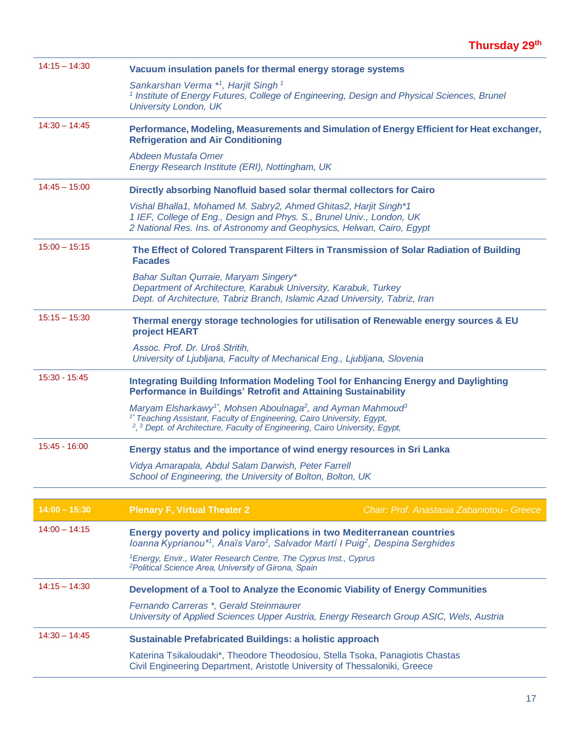| $14:15 - 14:30$<br>Vacuum insulation panels for thermal energy storage systems |                                                                                                                                                                                                                                                                                                           |  |  |  |
|--------------------------------------------------------------------------------|-----------------------------------------------------------------------------------------------------------------------------------------------------------------------------------------------------------------------------------------------------------------------------------------------------------|--|--|--|
|                                                                                | Sankarshan Verma *1, Harjit Singh 1<br><sup>1</sup> Institute of Energy Futures, College of Engineering, Design and Physical Sciences, Brunel<br><b>University London, UK</b>                                                                                                                             |  |  |  |
| $14:30 - 14:45$                                                                | Performance, Modeling, Measurements and Simulation of Energy Efficient for Heat exchanger,<br><b>Refrigeration and Air Conditioning</b>                                                                                                                                                                   |  |  |  |
|                                                                                | Abdeen Mustafa Omer<br>Energy Research Institute (ERI), Nottingham, UK                                                                                                                                                                                                                                    |  |  |  |
| $14:45 - 15:00$                                                                | Directly absorbing Nanofluid based solar thermal collectors for Cairo                                                                                                                                                                                                                                     |  |  |  |
|                                                                                | Vishal Bhalla1, Mohamed M. Sabry2, Ahmed Ghitas2, Harjit Singh*1<br>1 IEF, College of Eng., Design and Phys. S., Brunel Univ., London, UK<br>2 National Res. Ins. of Astronomy and Geophysics, Helwan, Cairo, Egypt                                                                                       |  |  |  |
| $15:00 - 15:15$                                                                | The Effect of Colored Transparent Filters in Transmission of Solar Radiation of Building<br><b>Facades</b>                                                                                                                                                                                                |  |  |  |
|                                                                                | Bahar Sultan Qurraie, Maryam Singery*<br>Department of Architecture, Karabuk University, Karabuk, Turkey<br>Dept. of Architecture, Tabriz Branch, Islamic Azad University, Tabriz, Iran                                                                                                                   |  |  |  |
| $15:15 - 15:30$                                                                | Thermal energy storage technologies for utilisation of Renewable energy sources & EU<br>project HEART                                                                                                                                                                                                     |  |  |  |
|                                                                                | Assoc. Prof. Dr. Uroš Stritih,<br>University of Ljubljana, Faculty of Mechanical Eng., Ljubljana, Slovenia                                                                                                                                                                                                |  |  |  |
| $15:30 - 15:45$                                                                | <b>Integrating Building Information Modeling Tool for Enhancing Energy and Daylighting</b><br>Performance in Buildings' Retrofit and Attaining Sustainability                                                                                                                                             |  |  |  |
|                                                                                | Maryam Elsharkawy <sup>1</sup> <sup>*</sup> , Mohsen Aboulnaga <sup>2</sup> , and Ayman Mahmoud <sup>3</sup><br><sup>1*</sup> Teaching Assistant, Faculty of Engineering, Cairo University, Egypt,<br><sup>2</sup> , <sup>3</sup> Dept. of Architecture, Faculty of Engineering, Cairo University, Egypt, |  |  |  |
| $15:45 - 16:00$                                                                | Energy status and the importance of wind energy resources in Sri Lanka                                                                                                                                                                                                                                    |  |  |  |
|                                                                                | Vidya Amarapala, Abdul Salam Darwish, Peter Farrell<br>School of Engineering, the University of Bolton, Bolton, UK                                                                                                                                                                                        |  |  |  |
|                                                                                |                                                                                                                                                                                                                                                                                                           |  |  |  |
| $14:00 - 15:30$                                                                | Chair: Prof. Anastasia Zabaniotou- Greece<br><b>Plenary F, Virtual Theater 2</b>                                                                                                                                                                                                                          |  |  |  |
| $14:00 - 14:15$                                                                | <b>Energy poverty and policy implications in two Mediterranean countries</b><br>Ioanna Kyprianou*1, Anaïs Varo <sup>2</sup> , Salvador Martí I Puig <sup>2</sup> , Despina Serghides                                                                                                                      |  |  |  |
|                                                                                | <sup>1</sup> Energy, Envir., Water Research Centre, The Cyprus Inst., Cyprus<br><sup>2</sup> Political Science Area, University of Girona, Spain                                                                                                                                                          |  |  |  |
| $14:15 - 14:30$                                                                | Development of a Tool to Analyze the Economic Viability of Energy Communities                                                                                                                                                                                                                             |  |  |  |
|                                                                                | Fernando Carreras *, Gerald Steinmaurer<br>University of Applied Sciences Upper Austria, Energy Research Group ASIC, Wels, Austria                                                                                                                                                                        |  |  |  |
| $14:30 - 14:45$                                                                | <b>Sustainable Prefabricated Buildings: a holistic approach</b>                                                                                                                                                                                                                                           |  |  |  |
|                                                                                | Katerina Tsikaloudaki*, Theodore Theodosiou, Stella Tsoka, Panagiotis Chastas<br>Civil Engineering Department, Aristotle University of Thessaloniki, Greece                                                                                                                                               |  |  |  |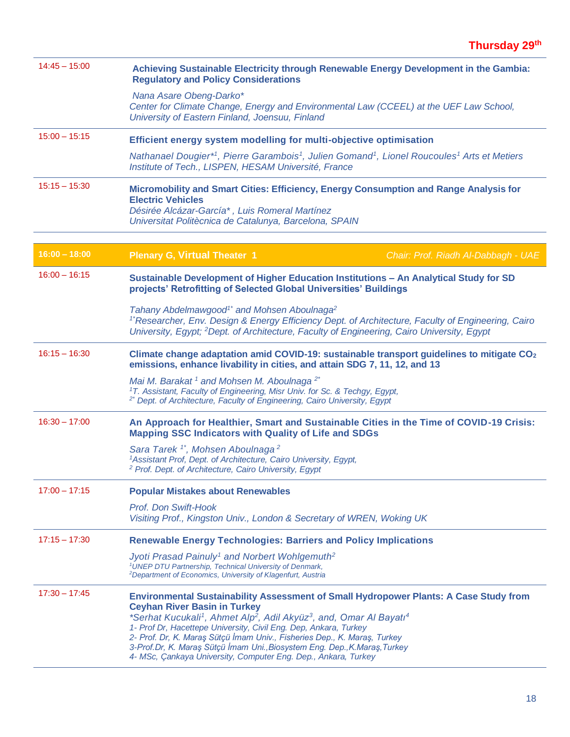| $14:45 - 15:00$ | Achieving Sustainable Electricity through Renewable Energy Development in the Gambia:<br><b>Regulatory and Policy Considerations</b>                                                                                                                                                                                                                                                                                                                                                                                                                |  |  |  |  |
|-----------------|-----------------------------------------------------------------------------------------------------------------------------------------------------------------------------------------------------------------------------------------------------------------------------------------------------------------------------------------------------------------------------------------------------------------------------------------------------------------------------------------------------------------------------------------------------|--|--|--|--|
|                 | Nana Asare Obeng-Darko*<br>Center for Climate Change, Energy and Environmental Law (CCEEL) at the UEF Law School,<br>University of Eastern Finland, Joensuu, Finland                                                                                                                                                                                                                                                                                                                                                                                |  |  |  |  |
| $15:00 - 15:15$ | Efficient energy system modelling for multi-objective optimisation                                                                                                                                                                                                                                                                                                                                                                                                                                                                                  |  |  |  |  |
|                 | Nathanael Dougier*1, Pierre Garambois1, Julien Gomand1, Lionel Roucoules1 Arts et Metiers<br>Institute of Tech., LISPEN, HESAM Université, France                                                                                                                                                                                                                                                                                                                                                                                                   |  |  |  |  |
| $15:15 - 15:30$ | Micromobility and Smart Cities: Efficiency, Energy Consumption and Range Analysis for<br><b>Electric Vehicles</b><br>Désirée Alcázar-García*, Luis Romeral Martínez<br>Universitat Politècnica de Catalunya, Barcelona, SPAIN                                                                                                                                                                                                                                                                                                                       |  |  |  |  |
| $16:00 - 18:00$ | <b>Plenary G, Virtual Theater 1</b><br>Chair: Prof. Riadh Al-Dabbagh - UAE                                                                                                                                                                                                                                                                                                                                                                                                                                                                          |  |  |  |  |
| $16:00 - 16:15$ | Sustainable Development of Higher Education Institutions - An Analytical Study for SD<br>projects' Retrofitting of Selected Global Universities' Buildings                                                                                                                                                                                                                                                                                                                                                                                          |  |  |  |  |
|                 | Tahany Abdelmawgood <sup>1*</sup> and Mohsen Aboulnaga <sup>2</sup><br><sup>1</sup> Researcher, Env. Design & Energy Efficiency Dept. of Architecture, Faculty of Engineering, Cairo<br>University, Eqypt; <sup>2</sup> Dept. of Architecture, Faculty of Engineering, Cairo University, Eqypt                                                                                                                                                                                                                                                      |  |  |  |  |
| $16:15 - 16:30$ | Climate change adaptation amid COVID-19: sustainable transport guidelines to mitigate $CO2$<br>emissions, enhance livability in cities, and attain SDG 7, 11, 12, and 13                                                                                                                                                                                                                                                                                                                                                                            |  |  |  |  |
|                 | Mai M. Barakat <sup>1</sup> and Mohsen M. Aboulnaga <sup>2*</sup><br><sup>1</sup> T. Assistant, Faculty of Engineering, Misr Univ. for Sc. & Techgy, Egypt,<br><sup>2*</sup> Dept. of Architecture, Faculty of Engineering, Cairo University, Egypt                                                                                                                                                                                                                                                                                                 |  |  |  |  |
| $16:30 - 17:00$ | An Approach for Healthier, Smart and Sustainable Cities in the Time of COVID-19 Crisis:<br><b>Mapping SSC Indicators with Quality of Life and SDGs</b>                                                                                                                                                                                                                                                                                                                                                                                              |  |  |  |  |
|                 | Sara Tarek <sup>1*</sup> , Mohsen Aboulnaga <sup>2</sup><br><sup>1</sup> Assistant Prof, Dept. of Architecture, Cairo University, Egypt,<br><sup>2</sup> Prof. Dept. of Architecture, Cairo University, Egypt                                                                                                                                                                                                                                                                                                                                       |  |  |  |  |
| $17:00 - 17:15$ | <b>Popular Mistakes about Renewables</b>                                                                                                                                                                                                                                                                                                                                                                                                                                                                                                            |  |  |  |  |
|                 | Prof. Don Swift-Hook<br>Visiting Prof., Kingston Univ., London & Secretary of WREN, Woking UK                                                                                                                                                                                                                                                                                                                                                                                                                                                       |  |  |  |  |
| $17:15 - 17:30$ | <b>Renewable Energy Technologies: Barriers and Policy Implications</b>                                                                                                                                                                                                                                                                                                                                                                                                                                                                              |  |  |  |  |
|                 | Jyoti Prasad Painuly <sup>1</sup> and Norbert Wohlgemuth <sup>2</sup><br><sup>1</sup> UNEP DTU Partnership, Technical University of Denmark,<br><sup>2</sup> Department of Economics, University of Klagenfurt, Austria                                                                                                                                                                                                                                                                                                                             |  |  |  |  |
| $17:30 - 17:45$ | Environmental Sustainability Assessment of Small Hydropower Plants: A Case Study from<br><b>Ceyhan River Basin in Turkey</b><br>*Serhat Kucukali <sup>1</sup> , Ahmet Alp <sup>2</sup> , Adil Akyüz <sup>3</sup> , and, Omar Al Bayatı <sup>4</sup><br>1- Prof Dr, Hacettepe University, Civil Eng. Dep, Ankara, Turkey<br>2- Prof. Dr, K. Maraş Sütçü İmam Univ., Fisheries Dep., K. Maraş, Turkey<br>3-Prof.Dr, K. Maraş Sütçü İmam Uni., Biosystem Eng. Dep., K. Maraş, Turkey<br>4- MSc, Çankaya University, Computer Eng. Dep., Ankara, Turkey |  |  |  |  |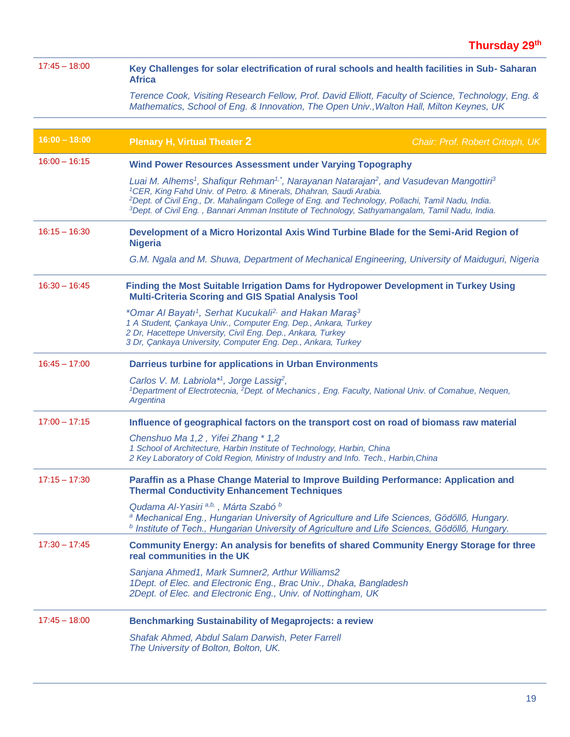| $17:45 - 18:00$ | Key Challenges for solar electrification of rural schools and health facilities in Sub-Saharan<br><b>Africa</b>                                                                                                                                                                                                                                                                                                                                           |                                 |  |  |  |  |
|-----------------|-----------------------------------------------------------------------------------------------------------------------------------------------------------------------------------------------------------------------------------------------------------------------------------------------------------------------------------------------------------------------------------------------------------------------------------------------------------|---------------------------------|--|--|--|--|
|                 | Terence Cook, Visiting Research Fellow, Prof. David Elliott, Faculty of Science, Technology, Eng. &<br>Mathematics, School of Eng. & Innovation, The Open Univ., Walton Hall, Milton Keynes, UK                                                                                                                                                                                                                                                           |                                 |  |  |  |  |
|                 |                                                                                                                                                                                                                                                                                                                                                                                                                                                           |                                 |  |  |  |  |
| $16:00 - 18:00$ | <b>Plenary H, Virtual Theater 2</b>                                                                                                                                                                                                                                                                                                                                                                                                                       | Chair: Prof. Robert Critoph, UK |  |  |  |  |
| $16:00 - 16:15$ | <b>Wind Power Resources Assessment under Varying Topography</b>                                                                                                                                                                                                                                                                                                                                                                                           |                                 |  |  |  |  |
|                 | Luai M. Alhems <sup>1</sup> , Shafiqur Rehman <sup>1,*</sup> , Narayanan Natarajan <sup>2</sup> , and Vasudevan Mangottiri <sup>3</sup><br><sup>1</sup> CER, King Fahd Univ. of Petro. & Minerals, Dhahran, Saudi Arabia.<br><sup>2</sup> Dept. of Civil Eng., Dr. Mahalingam College of Eng. and Technology, Pollachi, Tamil Nadu, India.<br><sup>3</sup> Dept. of Civil Eng., Bannari Amman Institute of Technology, Sathyamangalam, Tamil Nadu, India. |                                 |  |  |  |  |
| $16:15 - 16:30$ | Development of a Micro Horizontal Axis Wind Turbine Blade for the Semi-Arid Region of<br><b>Nigeria</b>                                                                                                                                                                                                                                                                                                                                                   |                                 |  |  |  |  |
|                 | G.M. Ngala and M. Shuwa, Department of Mechanical Engineering, University of Maiduguri, Nigeria                                                                                                                                                                                                                                                                                                                                                           |                                 |  |  |  |  |
| $16:30 - 16:45$ | Finding the Most Suitable Irrigation Dams for Hydropower Development in Turkey Using                                                                                                                                                                                                                                                                                                                                                                      |                                 |  |  |  |  |
|                 | *Omar Al Bayatı <sup>1</sup> , Serhat Kucukali <sup>2,</sup> and Hakan Maraş <sup>3</sup><br>1 A Student, Çankaya Univ., Computer Eng. Dep., Ankara, Turkey<br>2 Dr, Hacettepe University, Civil Eng. Dep., Ankara, Turkey<br>3 Dr, Çankaya University, Computer Eng. Dep., Ankara, Turkey                                                                                                                                                                |                                 |  |  |  |  |
| $16:45 - 17:00$ | <b>Darrieus turbine for applications in Urban Environments</b>                                                                                                                                                                                                                                                                                                                                                                                            |                                 |  |  |  |  |
|                 | Carlos V. M. Labriola <sup>*1</sup> , Jorge Lassig <sup>2</sup> ,<br><sup>1</sup> Department of Electrotecnia, <sup>2</sup> Dept. of Mechanics, Eng. Faculty, National Univ. of Comahue, Nequen,<br>Argentina                                                                                                                                                                                                                                             |                                 |  |  |  |  |
| $17:00 - 17:15$ | Influence of geographical factors on the transport cost on road of biomass raw material                                                                                                                                                                                                                                                                                                                                                                   |                                 |  |  |  |  |
|                 | Chenshuo Ma 1,2, Yifei Zhang * 1,2<br>1 School of Architecture, Harbin Institute of Technology, Harbin, China<br>2 Key Laboratory of Cold Region, Ministry of Industry and Info. Tech., Harbin, China                                                                                                                                                                                                                                                     |                                 |  |  |  |  |
| $17:15 - 17:30$ | Paraffin as a Phase Change Material to Improve Building Performance: Application and<br><b>Thermal Conductivity Enhancement Techniques</b>                                                                                                                                                                                                                                                                                                                |                                 |  |  |  |  |
|                 | Qudama Al-Yasiri <sup>a,b,</sup> , Márta Szabó <sup>b</sup><br><sup>a</sup> Mechanical Eng., Hungarian University of Agriculture and Life Sciences, Gödöllő, Hungary.<br>$b$ Institute of Tech., Hungarian University of Agriculture and Life Sciences, Gödöllő, Hungary.                                                                                                                                                                                 |                                 |  |  |  |  |
| $17:30 - 17:45$ | Community Energy: An analysis for benefits of shared Community Energy Storage for three<br>real communities in the UK                                                                                                                                                                                                                                                                                                                                     |                                 |  |  |  |  |
|                 | Sanjana Ahmed1, Mark Sumner2, Arthur Williams2<br>1Dept. of Elec. and Electronic Eng., Brac Univ., Dhaka, Bangladesh<br>2Dept. of Elec. and Electronic Eng., Univ. of Nottingham, UK                                                                                                                                                                                                                                                                      |                                 |  |  |  |  |
| $17:45 - 18:00$ | <b>Benchmarking Sustainability of Megaprojects: a review</b>                                                                                                                                                                                                                                                                                                                                                                                              |                                 |  |  |  |  |
|                 | Shafak Ahmed, Abdul Salam Darwish, Peter Farrell<br>The University of Bolton, Bolton, UK.                                                                                                                                                                                                                                                                                                                                                                 |                                 |  |  |  |  |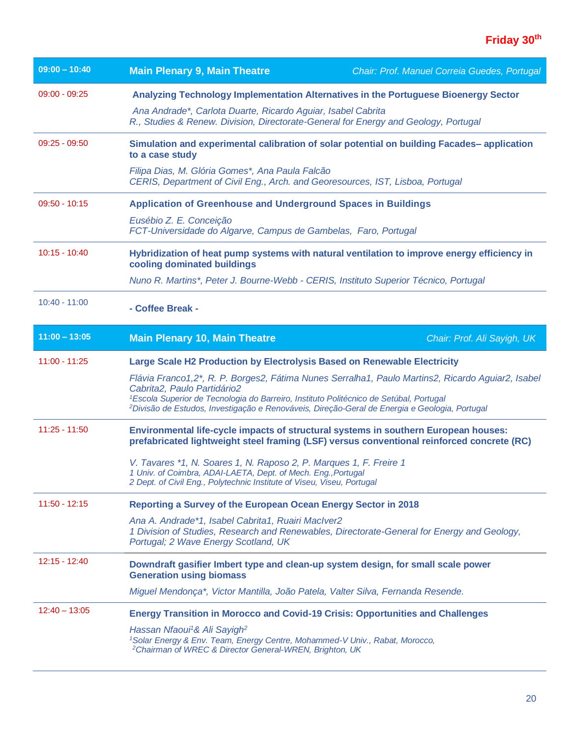| $09:00 - 10:40$ | <b>Main Plenary 9, Main Theatre</b>                                                                                                                                                                                                                                                                                                                 | Chair: Prof. Manuel Correia Guedes, Portugal |  |  |  |
|-----------------|-----------------------------------------------------------------------------------------------------------------------------------------------------------------------------------------------------------------------------------------------------------------------------------------------------------------------------------------------------|----------------------------------------------|--|--|--|
| $09:00 - 09:25$ | Analyzing Technology Implementation Alternatives in the Portuguese Bioenergy Sector                                                                                                                                                                                                                                                                 |                                              |  |  |  |
|                 | Ana Andrade*, Carlota Duarte, Ricardo Aguiar, Isabel Cabrita<br>R., Studies & Renew. Division, Directorate-General for Energy and Geology, Portugal                                                                                                                                                                                                 |                                              |  |  |  |
| $09:25 - 09:50$ | Simulation and experimental calibration of solar potential on building Facades-application<br>to a case study                                                                                                                                                                                                                                       |                                              |  |  |  |
|                 | Filipa Dias, M. Glória Gomes*, Ana Paula Falcão<br>CERIS, Department of Civil Eng., Arch. and Georesources, IST, Lisboa, Portugal                                                                                                                                                                                                                   |                                              |  |  |  |
| $09:50 - 10:15$ | <b>Application of Greenhouse and Underground Spaces in Buildings</b>                                                                                                                                                                                                                                                                                |                                              |  |  |  |
|                 | Eusébio Z. E. Conceição<br>FCT-Universidade do Algarve, Campus de Gambelas, Faro, Portugal                                                                                                                                                                                                                                                          |                                              |  |  |  |
| $10:15 - 10:40$ | Hybridization of heat pump systems with natural ventilation to improve energy efficiency in<br>cooling dominated buildings                                                                                                                                                                                                                          |                                              |  |  |  |
|                 | Nuno R. Martins*, Peter J. Bourne-Webb - CERIS, Instituto Superior Técnico, Portugal                                                                                                                                                                                                                                                                |                                              |  |  |  |
| $10:40 - 11:00$ | - Coffee Break -                                                                                                                                                                                                                                                                                                                                    |                                              |  |  |  |
| $11:00 - 13:05$ | <b>Main Plenary 10, Main Theatre</b>                                                                                                                                                                                                                                                                                                                | Chair: Prof. Ali Sayigh, UK                  |  |  |  |
| 11:00 - 11:25   | Large Scale H2 Production by Electrolysis Based on Renewable Electricity                                                                                                                                                                                                                                                                            |                                              |  |  |  |
|                 | Flávia Franco1,2*, R. P. Borges2, Fátima Nunes Serralha1, Paulo Martins2, Ricardo Aguiar2, Isabel<br>Cabrita2, Paulo Partidário2<br><sup>1</sup> Escola Superior de Tecnologia do Barreiro, Instituto Politécnico de Setúbal, Portugal<br><sup>2</sup> Divisão de Estudos, Investigação e Renováveis, Direção-Geral de Energia e Geologia, Portugal |                                              |  |  |  |
| $11:25 - 11:50$ | Environmental life-cycle impacts of structural systems in southern European houses:<br>prefabricated lightweight steel framing (LSF) versus conventional reinforced concrete (RC)                                                                                                                                                                   |                                              |  |  |  |
|                 | V. Tavares *1, N. Soares 1, N. Raposo 2, P. Marques 1, F. Freire 1<br>1 Univ. of Coimbra, ADAI-LAETA, Dept. of Mech. Eng., Portugal<br>2 Dept. of Civil Eng., Polytechnic Institute of Viseu, Viseu, Portugal                                                                                                                                       |                                              |  |  |  |
| $11:50 - 12:15$ | Reporting a Survey of the European Ocean Energy Sector in 2018                                                                                                                                                                                                                                                                                      |                                              |  |  |  |
|                 | Ana A. Andrade*1, Isabel Cabrita1, Ruairi MacIver2<br>1 Division of Studies, Research and Renewables, Directorate-General for Energy and Geology,<br>Portugal; 2 Wave Energy Scotland, UK                                                                                                                                                           |                                              |  |  |  |
| $12:15 - 12:40$ | Downdraft gasifier Imbert type and clean-up system design, for small scale power<br><b>Generation using biomass</b>                                                                                                                                                                                                                                 |                                              |  |  |  |
|                 | Miguel Mendonça*, Victor Mantilla, João Patela, Valter Silva, Fernanda Resende.                                                                                                                                                                                                                                                                     |                                              |  |  |  |
| $12:40 - 13:05$ | <b>Energy Transition in Morocco and Covid-19 Crisis: Opportunities and Challenges</b>                                                                                                                                                                                                                                                               |                                              |  |  |  |
|                 | Hassan Nfaoui <sup>1</sup> & Ali Sayigh <sup>2</sup><br><sup>1</sup> Solar Energy & Env. Team, Energy Centre, Mohammed-V Univ., Rabat, Morocco,<br><sup>2</sup> Chairman of WREC & Director General-WREN, Brighton, UK                                                                                                                              |                                              |  |  |  |